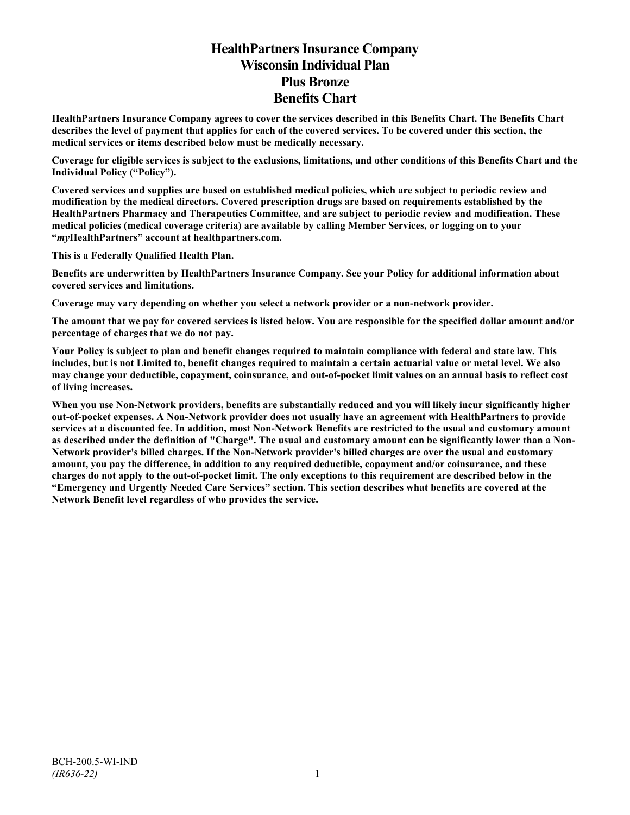# **HealthPartners Insurance Company Wisconsin Individual Plan Plus Bronze Benefits Chart**

**HealthPartners Insurance Company agrees to cover the services described in this Benefits Chart. The Benefits Chart describes the level of payment that applies for each of the covered services. To be covered under this section, the medical services or items described below must be medically necessary.**

**Coverage for eligible services is subject to the exclusions, limitations, and other conditions of this Benefits Chart and the Individual Policy ("Policy").**

**Covered services and supplies are based on established medical policies, which are subject to periodic review and modification by the medical directors. Covered prescription drugs are based on requirements established by the HealthPartners Pharmacy and Therapeutics Committee, and are subject to periodic review and modification. These medical policies (medical coverage criteria) are available by calling Member Services, or logging on to your "***my***HealthPartners" account at [healthpartners.com.](http://www.healthpartners.com/)**

**This is a Federally Qualified Health Plan.**

**Benefits are underwritten by HealthPartners Insurance Company. See your Policy for additional information about covered services and limitations.**

**Coverage may vary depending on whether you select a network provider or a non-network provider.**

**The amount that we pay for covered services is listed below. You are responsible for the specified dollar amount and/or percentage of charges that we do not pay.**

**Your Policy is subject to plan and benefit changes required to maintain compliance with federal and state law. This includes, but is not Limited to, benefit changes required to maintain a certain actuarial value or metal level. We also may change your deductible, copayment, coinsurance, and out-of-pocket limit values on an annual basis to reflect cost of living increases.**

**When you use Non-Network providers, benefits are substantially reduced and you will likely incur significantly higher out-of-pocket expenses. A Non-Network provider does not usually have an agreement with HealthPartners to provide services at a discounted fee. In addition, most Non-Network Benefits are restricted to the usual and customary amount as described under the definition of "Charge". The usual and customary amount can be significantly lower than a Non-Network provider's billed charges. If the Non-Network provider's billed charges are over the usual and customary amount, you pay the difference, in addition to any required deductible, copayment and/or coinsurance, and these charges do not apply to the out-of-pocket limit. The only exceptions to this requirement are described below in the "Emergency and Urgently Needed Care Services" section. This section describes what benefits are covered at the Network Benefit level regardless of who provides the service.**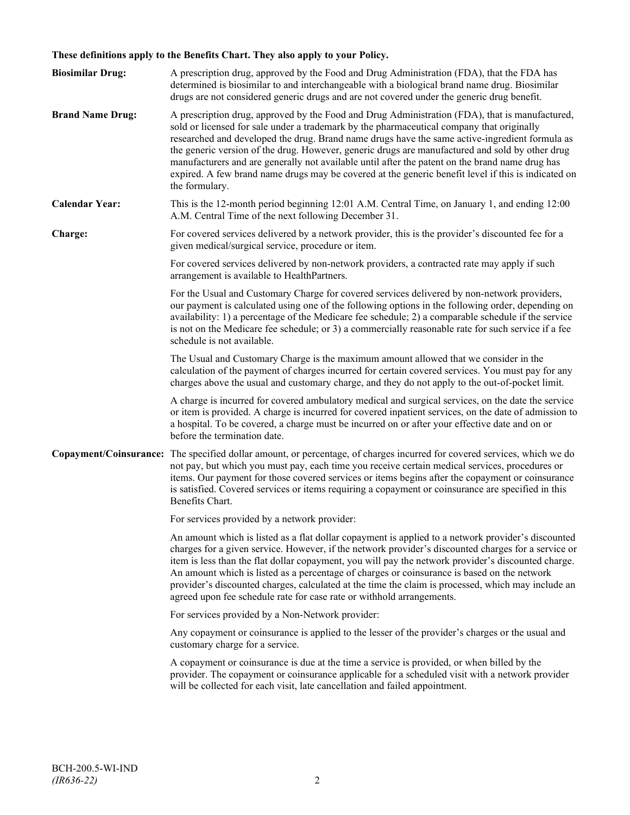# **These definitions apply to the Benefits Chart. They also apply to your Policy.**

| <b>Biosimilar Drug:</b> | A prescription drug, approved by the Food and Drug Administration (FDA), that the FDA has<br>determined is biosimilar to and interchangeable with a biological brand name drug. Biosimilar<br>drugs are not considered generic drugs and are not covered under the generic drug benefit.                                                                                                                                                                                                                                                                                                                                     |
|-------------------------|------------------------------------------------------------------------------------------------------------------------------------------------------------------------------------------------------------------------------------------------------------------------------------------------------------------------------------------------------------------------------------------------------------------------------------------------------------------------------------------------------------------------------------------------------------------------------------------------------------------------------|
| <b>Brand Name Drug:</b> | A prescription drug, approved by the Food and Drug Administration (FDA), that is manufactured,<br>sold or licensed for sale under a trademark by the pharmaceutical company that originally<br>researched and developed the drug. Brand name drugs have the same active-ingredient formula as<br>the generic version of the drug. However, generic drugs are manufactured and sold by other drug<br>manufacturers and are generally not available until after the patent on the brand name drug has<br>expired. A few brand name drugs may be covered at the generic benefit level if this is indicated on<br>the formulary. |
| <b>Calendar Year:</b>   | This is the 12-month period beginning 12:01 A.M. Central Time, on January 1, and ending 12:00<br>A.M. Central Time of the next following December 31.                                                                                                                                                                                                                                                                                                                                                                                                                                                                        |
| Charge:                 | For covered services delivered by a network provider, this is the provider's discounted fee for a<br>given medical/surgical service, procedure or item.                                                                                                                                                                                                                                                                                                                                                                                                                                                                      |
|                         | For covered services delivered by non-network providers, a contracted rate may apply if such<br>arrangement is available to HealthPartners.                                                                                                                                                                                                                                                                                                                                                                                                                                                                                  |
|                         | For the Usual and Customary Charge for covered services delivered by non-network providers,<br>our payment is calculated using one of the following options in the following order, depending on<br>availability: 1) a percentage of the Medicare fee schedule; 2) a comparable schedule if the service<br>is not on the Medicare fee schedule; or 3) a commercially reasonable rate for such service if a fee<br>schedule is not available.                                                                                                                                                                                 |
|                         | The Usual and Customary Charge is the maximum amount allowed that we consider in the<br>calculation of the payment of charges incurred for certain covered services. You must pay for any<br>charges above the usual and customary charge, and they do not apply to the out-of-pocket limit.                                                                                                                                                                                                                                                                                                                                 |
|                         | A charge is incurred for covered ambulatory medical and surgical services, on the date the service<br>or item is provided. A charge is incurred for covered inpatient services, on the date of admission to<br>a hospital. To be covered, a charge must be incurred on or after your effective date and on or<br>before the termination date.                                                                                                                                                                                                                                                                                |
|                         | Copayment/Coinsurance: The specified dollar amount, or percentage, of charges incurred for covered services, which we do<br>not pay, but which you must pay, each time you receive certain medical services, procedures or<br>items. Our payment for those covered services or items begins after the copayment or coinsurance<br>is satisfied. Covered services or items requiring a copayment or coinsurance are specified in this<br>Benefits Chart.                                                                                                                                                                      |
|                         | For services provided by a network provider:                                                                                                                                                                                                                                                                                                                                                                                                                                                                                                                                                                                 |
|                         | An amount which is listed as a flat dollar copayment is applied to a network provider's discounted<br>charges for a given service. However, if the network provider's discounted charges for a service or<br>item is less than the flat dollar copayment, you will pay the network provider's discounted charge.<br>An amount which is listed as a percentage of charges or coinsurance is based on the network<br>provider's discounted charges, calculated at the time the claim is processed, which may include an<br>agreed upon fee schedule rate for case rate or withhold arrangements.                               |
|                         | For services provided by a Non-Network provider:                                                                                                                                                                                                                                                                                                                                                                                                                                                                                                                                                                             |
|                         | Any copayment or coinsurance is applied to the lesser of the provider's charges or the usual and<br>customary charge for a service.                                                                                                                                                                                                                                                                                                                                                                                                                                                                                          |
|                         | A copayment or coinsurance is due at the time a service is provided, or when billed by the<br>provider. The copayment or coinsurance applicable for a scheduled visit with a network provider<br>will be collected for each visit, late cancellation and failed appointment.                                                                                                                                                                                                                                                                                                                                                 |
|                         |                                                                                                                                                                                                                                                                                                                                                                                                                                                                                                                                                                                                                              |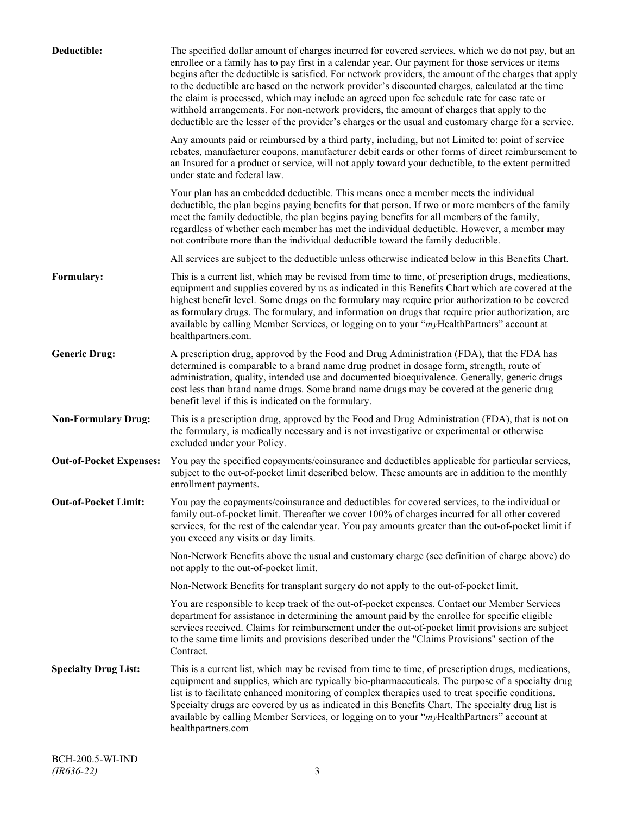| Deductible:                    | The specified dollar amount of charges incurred for covered services, which we do not pay, but an<br>enrollee or a family has to pay first in a calendar year. Our payment for those services or items<br>begins after the deductible is satisfied. For network providers, the amount of the charges that apply<br>to the deductible are based on the network provider's discounted charges, calculated at the time<br>the claim is processed, which may include an agreed upon fee schedule rate for case rate or<br>withhold arrangements. For non-network providers, the amount of charges that apply to the<br>deductible are the lesser of the provider's charges or the usual and customary charge for a service. |
|--------------------------------|-------------------------------------------------------------------------------------------------------------------------------------------------------------------------------------------------------------------------------------------------------------------------------------------------------------------------------------------------------------------------------------------------------------------------------------------------------------------------------------------------------------------------------------------------------------------------------------------------------------------------------------------------------------------------------------------------------------------------|
|                                | Any amounts paid or reimbursed by a third party, including, but not Limited to: point of service<br>rebates, manufacturer coupons, manufacturer debit cards or other forms of direct reimbursement to<br>an Insured for a product or service, will not apply toward your deductible, to the extent permitted<br>under state and federal law.                                                                                                                                                                                                                                                                                                                                                                            |
|                                | Your plan has an embedded deductible. This means once a member meets the individual<br>deductible, the plan begins paying benefits for that person. If two or more members of the family<br>meet the family deductible, the plan begins paying benefits for all members of the family,<br>regardless of whether each member has met the individual deductible. However, a member may<br>not contribute more than the individual deductible toward the family deductible.                                                                                                                                                                                                                                                |
|                                | All services are subject to the deductible unless otherwise indicated below in this Benefits Chart.                                                                                                                                                                                                                                                                                                                                                                                                                                                                                                                                                                                                                     |
| Formulary:                     | This is a current list, which may be revised from time to time, of prescription drugs, medications,<br>equipment and supplies covered by us as indicated in this Benefits Chart which are covered at the<br>highest benefit level. Some drugs on the formulary may require prior authorization to be covered<br>as formulary drugs. The formulary, and information on drugs that require prior authorization, are<br>available by calling Member Services, or logging on to your "myHealthPartners" account at<br>healthpartners.com.                                                                                                                                                                                   |
| <b>Generic Drug:</b>           | A prescription drug, approved by the Food and Drug Administration (FDA), that the FDA has<br>determined is comparable to a brand name drug product in dosage form, strength, route of<br>administration, quality, intended use and documented bioequivalence. Generally, generic drugs<br>cost less than brand name drugs. Some brand name drugs may be covered at the generic drug<br>benefit level if this is indicated on the formulary.                                                                                                                                                                                                                                                                             |
| <b>Non-Formulary Drug:</b>     | This is a prescription drug, approved by the Food and Drug Administration (FDA), that is not on<br>the formulary, is medically necessary and is not investigative or experimental or otherwise<br>excluded under your Policy.                                                                                                                                                                                                                                                                                                                                                                                                                                                                                           |
| <b>Out-of-Pocket Expenses:</b> | You pay the specified copayments/coinsurance and deductibles applicable for particular services,<br>subject to the out-of-pocket limit described below. These amounts are in addition to the monthly<br>enrollment payments.                                                                                                                                                                                                                                                                                                                                                                                                                                                                                            |
| <b>Out-of-Pocket Limit:</b>    | You pay the copayments/coinsurance and deductibles for covered services, to the individual or<br>family out-of-pocket limit. Thereafter we cover 100% of charges incurred for all other covered<br>services, for the rest of the calendar year. You pay amounts greater than the out-of-pocket limit if<br>you exceed any visits or day limits.                                                                                                                                                                                                                                                                                                                                                                         |
|                                | Non-Network Benefits above the usual and customary charge (see definition of charge above) do<br>not apply to the out-of-pocket limit.                                                                                                                                                                                                                                                                                                                                                                                                                                                                                                                                                                                  |
|                                | Non-Network Benefits for transplant surgery do not apply to the out-of-pocket limit.                                                                                                                                                                                                                                                                                                                                                                                                                                                                                                                                                                                                                                    |
|                                | You are responsible to keep track of the out-of-pocket expenses. Contact our Member Services<br>department for assistance in determining the amount paid by the enrollee for specific eligible<br>services received. Claims for reimbursement under the out-of-pocket limit provisions are subject<br>to the same time limits and provisions described under the "Claims Provisions" section of the<br>Contract.                                                                                                                                                                                                                                                                                                        |
| <b>Specialty Drug List:</b>    | This is a current list, which may be revised from time to time, of prescription drugs, medications,<br>equipment and supplies, which are typically bio-pharmaceuticals. The purpose of a specialty drug<br>list is to facilitate enhanced monitoring of complex therapies used to treat specific conditions.<br>Specialty drugs are covered by us as indicated in this Benefits Chart. The specialty drug list is<br>available by calling Member Services, or logging on to your "myHealthPartners" account at<br>healthpartners.com                                                                                                                                                                                    |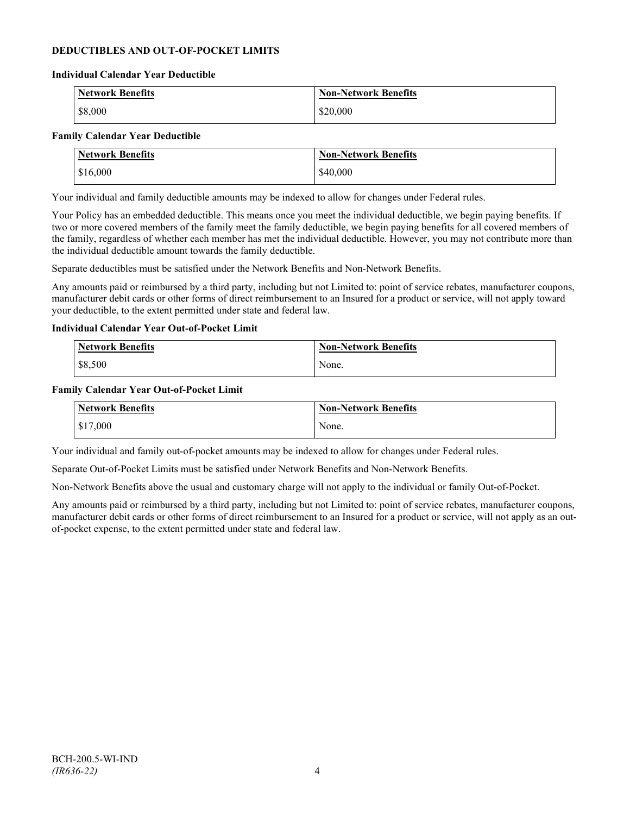### **DEDUCTIBLES AND OUT-OF-POCKET LIMITS**

#### **Individual Calendar Year Deductible**

| <b>Network Benefits</b> | <b>Non-Network Benefits</b> |
|-------------------------|-----------------------------|
| \$8,000                 | \$20,000                    |

#### **Family Calendar Year Deductible**

| <b>Network Benefits</b> | <b>Non-Network Benefits</b> |
|-------------------------|-----------------------------|
| \$16,000                | \$40,000                    |

Your individual and family deductible amounts may be indexed to allow for changes under Federal rules.

Your Policy has an embedded deductible. This means once you meet the individual deductible, we begin paying benefits. If two or more covered members of the family meet the family deductible, we begin paying benefits for all covered members of the family, regardless of whether each member has met the individual deductible. However, you may not contribute more than the individual deductible amount towards the family deductible.

Separate deductibles must be satisfied under the Network Benefits and Non-Network Benefits.

Any amounts paid or reimbursed by a third party, including but not Limited to: point of service rebates, manufacturer coupons, manufacturer debit cards or other forms of direct reimbursement to an Insured for a product or service, will not apply toward your deductible, to the extent permitted under state and federal law.

#### **Individual Calendar Year Out-of-Pocket Limit**

| Network Benefits | <b>Non-Network Benefits</b> |
|------------------|-----------------------------|
| \$8,500          | None.                       |

#### **Family Calendar Year Out-of-Pocket Limit**

| Network Benefits       | Non-Network Benefits |
|------------------------|----------------------|
| $\frac{1}{2}$ \$17,000 | None.                |

Your individual and family out-of-pocket amounts may be indexed to allow for changes under Federal rules.

Separate Out-of-Pocket Limits must be satisfied under Network Benefits and Non-Network Benefits.

Non-Network Benefits above the usual and customary charge will not apply to the individual or family Out-of-Pocket.

Any amounts paid or reimbursed by a third party, including but not Limited to: point of service rebates, manufacturer coupons, manufacturer debit cards or other forms of direct reimbursement to an Insured for a product or service, will not apply as an outof-pocket expense, to the extent permitted under state and federal law.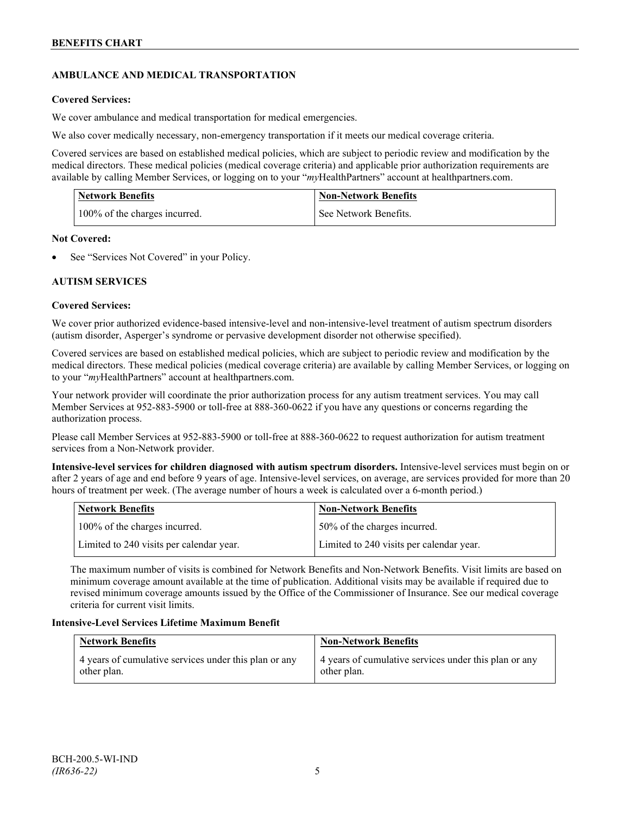# **AMBULANCE AND MEDICAL TRANSPORTATION**

### **Covered Services:**

We cover ambulance and medical transportation for medical emergencies.

We also cover medically necessary, non-emergency transportation if it meets our medical coverage criteria.

Covered services are based on established medical policies, which are subject to periodic review and modification by the medical directors. These medical policies (medical coverage criteria) and applicable prior authorization requirements are available by calling Member Services, or logging on to your "*my*HealthPartners" account a[t healthpartners.com.](http://www.healthpartners.com/)

| <b>Network Benefits</b>       | <b>Non-Network Benefits</b> |
|-------------------------------|-----------------------------|
| 100% of the charges incurred. | See Network Benefits.       |

### **Not Covered:**

See "Services Not Covered" in your Policy.

### **AUTISM SERVICES**

### **Covered Services:**

We cover prior authorized evidence-based intensive-level and non-intensive-level treatment of autism spectrum disorders (autism disorder, Asperger's syndrome or pervasive development disorder not otherwise specified).

Covered services are based on established medical policies, which are subject to periodic review and modification by the medical directors. These medical policies (medical coverage criteria) are available by calling Member Services, or logging on to your "*my*HealthPartners" account at [healthpartners.com.](http://www.healthpartners.com/)

Your network provider will coordinate the prior authorization process for any autism treatment services. You may call Member Services at 952-883-5900 or toll-free at 888-360-0622 if you have any questions or concerns regarding the authorization process.

Please call Member Services at 952-883-5900 or toll-free at 888-360-0622 to request authorization for autism treatment services from a Non-Network provider.

**Intensive-level services for children diagnosed with autism spectrum disorders.** Intensive-level services must begin on or after 2 years of age and end before 9 years of age. Intensive-level services, on average, are services provided for more than 20 hours of treatment per week. (The average number of hours a week is calculated over a 6-month period.)

| Network Benefits                         | <b>Non-Network Benefits</b>              |
|------------------------------------------|------------------------------------------|
| 100% of the charges incurred.            | 50% of the charges incurred.             |
| Limited to 240 visits per calendar year. | Limited to 240 visits per calendar year. |

The maximum number of visits is combined for Network Benefits and Non-Network Benefits. Visit limits are based on minimum coverage amount available at the time of publication. Additional visits may be available if required due to revised minimum coverage amounts issued by the Office of the Commissioner of Insurance. See our medical coverage criteria for current visit limits.

### **Intensive-Level Services Lifetime Maximum Benefit**

| <b>Network Benefits</b>                               | <b>Non-Network Benefits</b>                           |
|-------------------------------------------------------|-------------------------------------------------------|
| 4 years of cumulative services under this plan or any | 4 years of cumulative services under this plan or any |
| other plan.                                           | other plan.                                           |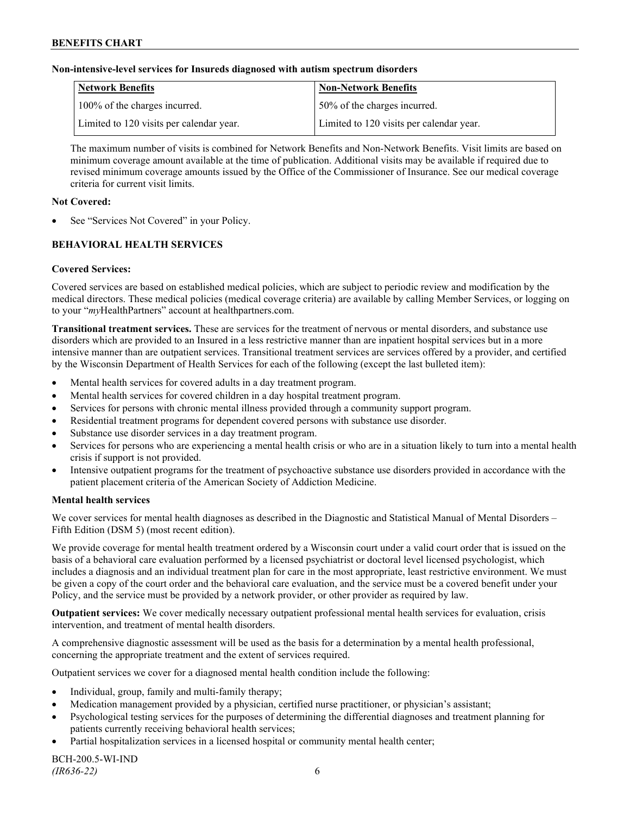### **Non-intensive-level services for Insureds diagnosed with autism spectrum disorders**

| Network Benefits                         | <b>Non-Network Benefits</b>              |
|------------------------------------------|------------------------------------------|
| 100% of the charges incurred.            | 50% of the charges incurred.             |
| Limited to 120 visits per calendar year. | Limited to 120 visits per calendar year. |

The maximum number of visits is combined for Network Benefits and Non-Network Benefits. Visit limits are based on minimum coverage amount available at the time of publication. Additional visits may be available if required due to revised minimum coverage amounts issued by the Office of the Commissioner of Insurance. See our medical coverage criteria for current visit limits.

#### **Not Covered:**

See "Services Not Covered" in your Policy.

# **BEHAVIORAL HEALTH SERVICES**

#### **Covered Services:**

Covered services are based on established medical policies, which are subject to periodic review and modification by the medical directors. These medical policies (medical coverage criteria) are available by calling Member Services, or logging on to your "*my*HealthPartners" account at [healthpartners.com.](http://www.healthpartners.com/)

**Transitional treatment services.** These are services for the treatment of nervous or mental disorders, and substance use disorders which are provided to an Insured in a less restrictive manner than are inpatient hospital services but in a more intensive manner than are outpatient services. Transitional treatment services are services offered by a provider, and certified by the Wisconsin Department of Health Services for each of the following (except the last bulleted item):

- Mental health services for covered adults in a day treatment program.
- Mental health services for covered children in a day hospital treatment program.
- Services for persons with chronic mental illness provided through a community support program.
- Residential treatment programs for dependent covered persons with substance use disorder.
- Substance use disorder services in a day treatment program.
- Services for persons who are experiencing a mental health crisis or who are in a situation likely to turn into a mental health crisis if support is not provided.
- Intensive outpatient programs for the treatment of psychoactive substance use disorders provided in accordance with the patient placement criteria of the American Society of Addiction Medicine.

#### **Mental health services**

We cover services for mental health diagnoses as described in the Diagnostic and Statistical Manual of Mental Disorders – Fifth Edition (DSM 5) (most recent edition).

We provide coverage for mental health treatment ordered by a Wisconsin court under a valid court order that is issued on the basis of a behavioral care evaluation performed by a licensed psychiatrist or doctoral level licensed psychologist, which includes a diagnosis and an individual treatment plan for care in the most appropriate, least restrictive environment. We must be given a copy of the court order and the behavioral care evaluation, and the service must be a covered benefit under your Policy, and the service must be provided by a network provider, or other provider as required by law.

**Outpatient services:** We cover medically necessary outpatient professional mental health services for evaluation, crisis intervention, and treatment of mental health disorders.

A comprehensive diagnostic assessment will be used as the basis for a determination by a mental health professional, concerning the appropriate treatment and the extent of services required.

Outpatient services we cover for a diagnosed mental health condition include the following:

- Individual, group, family and multi-family therapy;
- Medication management provided by a physician, certified nurse practitioner, or physician's assistant;
- Psychological testing services for the purposes of determining the differential diagnoses and treatment planning for patients currently receiving behavioral health services;
- Partial hospitalization services in a licensed hospital or community mental health center;

BCH-200.5-WI-IND *(IR636-22)* 6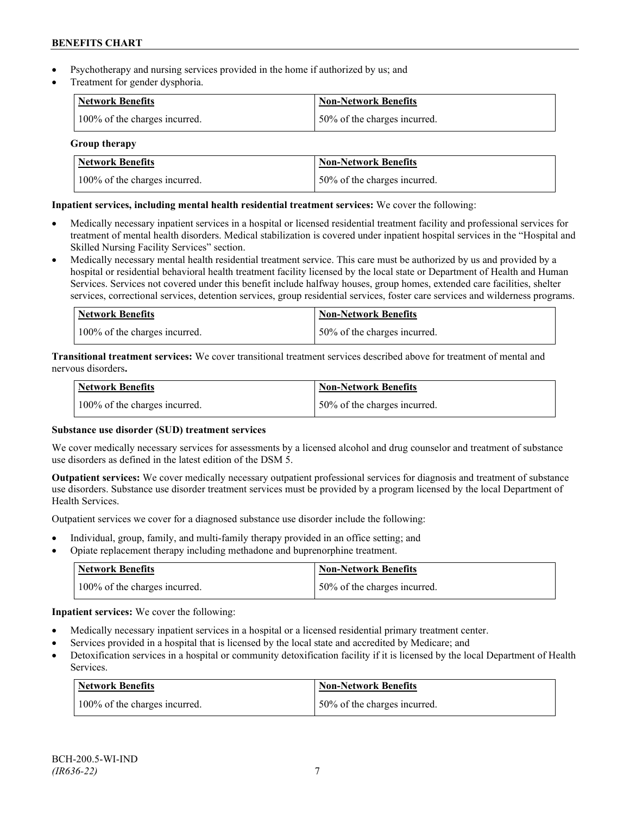- Psychotherapy and nursing services provided in the home if authorized by us; and
- Treatment for gender dysphoria.

| Network Benefits              | <b>Non-Network Benefits</b>  |
|-------------------------------|------------------------------|
| 100% of the charges incurred. | 50% of the charges incurred. |

### **Group therapy**

| <b>Network Benefits</b>       | <b>Non-Network Benefits</b>  |
|-------------------------------|------------------------------|
| 100% of the charges incurred. | 50% of the charges incurred. |

# **Inpatient services, including mental health residential treatment services:** We cover the following:

- Medically necessary inpatient services in a hospital or licensed residential treatment facility and professional services for treatment of mental health disorders. Medical stabilization is covered under inpatient hospital services in the "Hospital and Skilled Nursing Facility Services" section.
- Medically necessary mental health residential treatment service. This care must be authorized by us and provided by a hospital or residential behavioral health treatment facility licensed by the local state or Department of Health and Human Services. Services not covered under this benefit include halfway houses, group homes, extended care facilities, shelter services, correctional services, detention services, group residential services, foster care services and wilderness programs.

| Network Benefits              | <b>Non-Network Benefits</b>  |
|-------------------------------|------------------------------|
| 100% of the charges incurred. | 50% of the charges incurred. |

**Transitional treatment services:** We cover transitional treatment services described above for treatment of mental and nervous disorders**.**

| Network Benefits              | Non-Network Benefits         |
|-------------------------------|------------------------------|
| 100% of the charges incurred. | 50% of the charges incurred. |

# **Substance use disorder (SUD) treatment services**

We cover medically necessary services for assessments by a licensed alcohol and drug counselor and treatment of substance use disorders as defined in the latest edition of the DSM 5.

**Outpatient services:** We cover medically necessary outpatient professional services for diagnosis and treatment of substance use disorders. Substance use disorder treatment services must be provided by a program licensed by the local Department of Health Services.

Outpatient services we cover for a diagnosed substance use disorder include the following:

- Individual, group, family, and multi-family therapy provided in an office setting; and
- Opiate replacement therapy including methadone and buprenorphine treatment.

| <b>Network Benefits</b>       | <b>Non-Network Benefits</b>   |
|-------------------------------|-------------------------------|
| 100% of the charges incurred. | 150% of the charges incurred. |

**Inpatient services:** We cover the following:

- Medically necessary inpatient services in a hospital or a licensed residential primary treatment center.
- Services provided in a hospital that is licensed by the local state and accredited by Medicare; and
- Detoxification services in a hospital or community detoxification facility if it is licensed by the local Department of Health Services.

| Network Benefits              | <b>Non-Network Benefits</b>  |
|-------------------------------|------------------------------|
| 100% of the charges incurred. | 50% of the charges incurred. |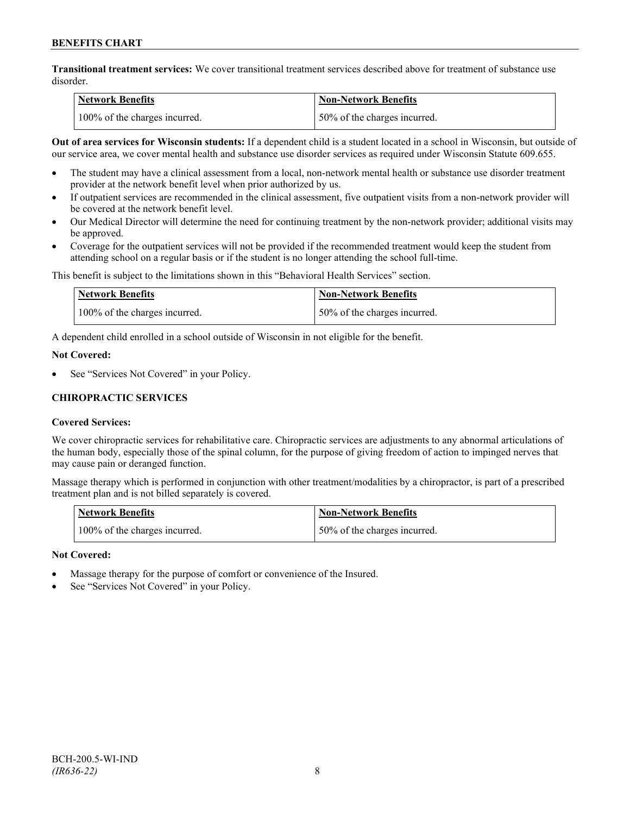**Transitional treatment services:** We cover transitional treatment services described above for treatment of substance use disorder.

| Network Benefits              | <b>Non-Network Benefits</b>  |
|-------------------------------|------------------------------|
| 100% of the charges incurred. | 50% of the charges incurred. |

**Out of area services for Wisconsin students:** If a dependent child is a student located in a school in Wisconsin, but outside of our service area, we cover mental health and substance use disorder services as required under Wisconsin Statute 609.655.

- The student may have a clinical assessment from a local, non-network mental health or substance use disorder treatment provider at the network benefit level when prior authorized by us.
- If outpatient services are recommended in the clinical assessment, five outpatient visits from a non-network provider will be covered at the network benefit level.
- Our Medical Director will determine the need for continuing treatment by the non-network provider; additional visits may be approved.
- Coverage for the outpatient services will not be provided if the recommended treatment would keep the student from attending school on a regular basis or if the student is no longer attending the school full-time.

This benefit is subject to the limitations shown in this "Behavioral Health Services" section.

| Network Benefits              | Non-Network Benefits         |
|-------------------------------|------------------------------|
| 100% of the charges incurred. | 50% of the charges incurred. |

A dependent child enrolled in a school outside of Wisconsin in not eligible for the benefit.

#### **Not Covered:**

See "Services Not Covered" in your Policy.

# **CHIROPRACTIC SERVICES**

### **Covered Services:**

We cover chiropractic services for rehabilitative care. Chiropractic services are adjustments to any abnormal articulations of the human body, especially those of the spinal column, for the purpose of giving freedom of action to impinged nerves that may cause pain or deranged function.

Massage therapy which is performed in conjunction with other treatment/modalities by a chiropractor, is part of a prescribed treatment plan and is not billed separately is covered.

| <b>Network Benefits</b>       | Non-Network Benefits         |
|-------------------------------|------------------------------|
| 100% of the charges incurred. | 50% of the charges incurred. |

### **Not Covered:**

- Massage therapy for the purpose of comfort or convenience of the Insured.
- See "Services Not Covered" in your Policy.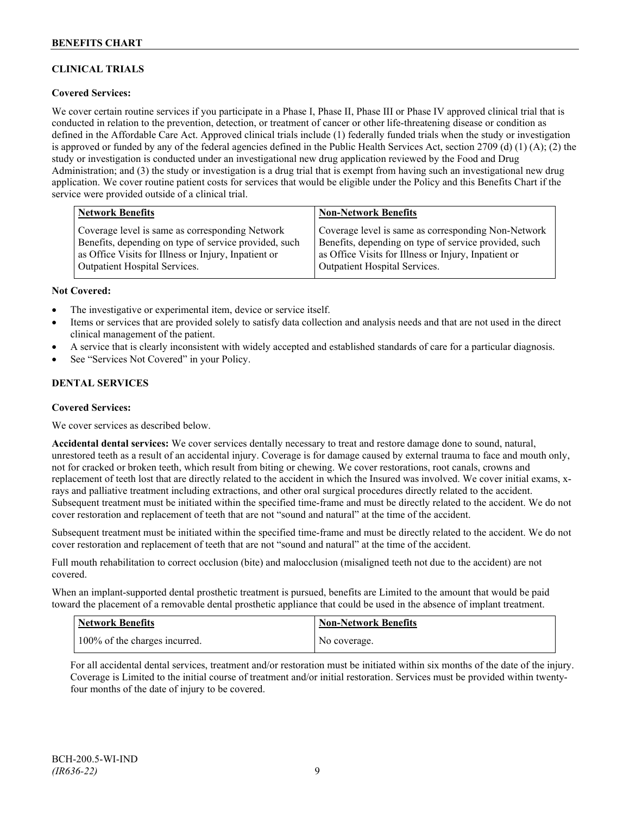# **CLINICAL TRIALS**

### **Covered Services:**

We cover certain routine services if you participate in a Phase I, Phase II, Phase III or Phase IV approved clinical trial that is conducted in relation to the prevention, detection, or treatment of cancer or other life-threatening disease or condition as defined in the Affordable Care Act. Approved clinical trials include (1) federally funded trials when the study or investigation is approved or funded by any of the federal agencies defined in the Public Health Services Act, section 2709 (d) (1) (A); (2) the study or investigation is conducted under an investigational new drug application reviewed by the Food and Drug Administration; and (3) the study or investigation is a drug trial that is exempt from having such an investigational new drug application. We cover routine patient costs for services that would be eligible under the Policy and this Benefits Chart if the service were provided outside of a clinical trial.

| <b>Network Benefits</b>                               | <b>Non-Network Benefits</b>                           |
|-------------------------------------------------------|-------------------------------------------------------|
| Coverage level is same as corresponding Network       | Coverage level is same as corresponding Non-Network   |
| Benefits, depending on type of service provided, such | Benefits, depending on type of service provided, such |
| as Office Visits for Illness or Injury, Inpatient or  | as Office Visits for Illness or Injury, Inpatient or  |
| <b>Outpatient Hospital Services.</b>                  | <b>Outpatient Hospital Services.</b>                  |

#### **Not Covered:**

- The investigative or experimental item, device or service itself.
- Items or services that are provided solely to satisfy data collection and analysis needs and that are not used in the direct clinical management of the patient.
- A service that is clearly inconsistent with widely accepted and established standards of care for a particular diagnosis.
- See "Services Not Covered" in your Policy.

### **DENTAL SERVICES**

#### **Covered Services:**

We cover services as described below.

**Accidental dental services:** We cover services dentally necessary to treat and restore damage done to sound, natural, unrestored teeth as a result of an accidental injury. Coverage is for damage caused by external trauma to face and mouth only, not for cracked or broken teeth, which result from biting or chewing. We cover restorations, root canals, crowns and replacement of teeth lost that are directly related to the accident in which the Insured was involved. We cover initial exams, xrays and palliative treatment including extractions, and other oral surgical procedures directly related to the accident. Subsequent treatment must be initiated within the specified time-frame and must be directly related to the accident. We do not cover restoration and replacement of teeth that are not "sound and natural" at the time of the accident.

Subsequent treatment must be initiated within the specified time-frame and must be directly related to the accident. We do not cover restoration and replacement of teeth that are not "sound and natural" at the time of the accident.

Full mouth rehabilitation to correct occlusion (bite) and malocclusion (misaligned teeth not due to the accident) are not covered.

When an implant-supported dental prosthetic treatment is pursued, benefits are Limited to the amount that would be paid toward the placement of a removable dental prosthetic appliance that could be used in the absence of implant treatment.

| <b>Network Benefits</b>       | <b>Non-Network Benefits</b> |
|-------------------------------|-----------------------------|
| 100% of the charges incurred. | No coverage.                |

For all accidental dental services, treatment and/or restoration must be initiated within six months of the date of the injury. Coverage is Limited to the initial course of treatment and/or initial restoration. Services must be provided within twentyfour months of the date of injury to be covered.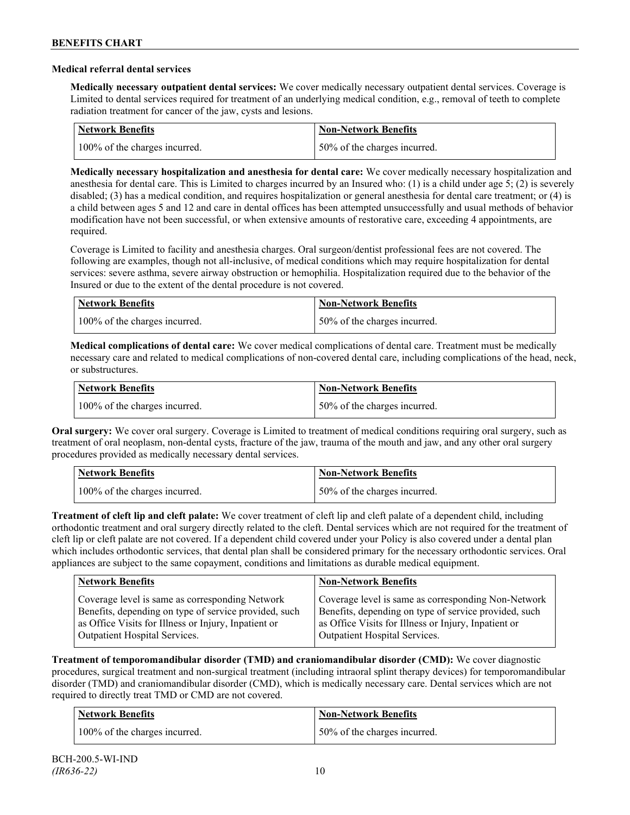### **Medical referral dental services**

**Medically necessary outpatient dental services:** We cover medically necessary outpatient dental services. Coverage is Limited to dental services required for treatment of an underlying medical condition, e.g., removal of teeth to complete radiation treatment for cancer of the jaw, cysts and lesions.

| Network Benefits              | <b>Non-Network Benefits</b>  |
|-------------------------------|------------------------------|
| 100% of the charges incurred. | 50% of the charges incurred. |

**Medically necessary hospitalization and anesthesia for dental care:** We cover medically necessary hospitalization and anesthesia for dental care. This is Limited to charges incurred by an Insured who: (1) is a child under age 5; (2) is severely disabled; (3) has a medical condition, and requires hospitalization or general anesthesia for dental care treatment; or (4) is a child between ages 5 and 12 and care in dental offices has been attempted unsuccessfully and usual methods of behavior modification have not been successful, or when extensive amounts of restorative care, exceeding 4 appointments, are required.

Coverage is Limited to facility and anesthesia charges. Oral surgeon/dentist professional fees are not covered. The following are examples, though not all-inclusive, of medical conditions which may require hospitalization for dental services: severe asthma, severe airway obstruction or hemophilia. Hospitalization required due to the behavior of the Insured or due to the extent of the dental procedure is not covered.

| Network Benefits              | Non-Network Benefits         |
|-------------------------------|------------------------------|
| 100% of the charges incurred. | 50% of the charges incurred. |

**Medical complications of dental care:** We cover medical complications of dental care. Treatment must be medically necessary care and related to medical complications of non-covered dental care, including complications of the head, neck, or substructures.

| Network Benefits              | Non-Network Benefits         |
|-------------------------------|------------------------------|
| 100% of the charges incurred. | 50% of the charges incurred. |

**Oral surgery:** We cover oral surgery. Coverage is Limited to treatment of medical conditions requiring oral surgery, such as treatment of oral neoplasm, non-dental cysts, fracture of the jaw, trauma of the mouth and jaw, and any other oral surgery procedures provided as medically necessary dental services.

| <b>Network Benefits</b>       | <b>Non-Network Benefits</b>  |
|-------------------------------|------------------------------|
| 100% of the charges incurred. | 50% of the charges incurred. |

**Treatment of cleft lip and cleft palate:** We cover treatment of cleft lip and cleft palate of a dependent child, including orthodontic treatment and oral surgery directly related to the cleft. Dental services which are not required for the treatment of cleft lip or cleft palate are not covered. If a dependent child covered under your Policy is also covered under a dental plan which includes orthodontic services, that dental plan shall be considered primary for the necessary orthodontic services. Oral appliances are subject to the same copayment, conditions and limitations as durable medical equipment.

| <b>Network Benefits</b>                               | <b>Non-Network Benefits</b>                           |
|-------------------------------------------------------|-------------------------------------------------------|
| Coverage level is same as corresponding Network       | Coverage level is same as corresponding Non-Network   |
| Benefits, depending on type of service provided, such | Benefits, depending on type of service provided, such |
| as Office Visits for Illness or Injury, Inpatient or  | as Office Visits for Illness or Injury, Inpatient or  |
| Outpatient Hospital Services.                         | Outpatient Hospital Services.                         |

**Treatment of temporomandibular disorder (TMD) and craniomandibular disorder (CMD):** We cover diagnostic procedures, surgical treatment and non-surgical treatment (including intraoral splint therapy devices) for temporomandibular disorder (TMD) and craniomandibular disorder (CMD), which is medically necessary care. Dental services which are not required to directly treat TMD or CMD are not covered.

| <b>Network Benefits</b>       | <b>Non-Network Benefits</b>  |
|-------------------------------|------------------------------|
| 100% of the charges incurred. | 50% of the charges incurred. |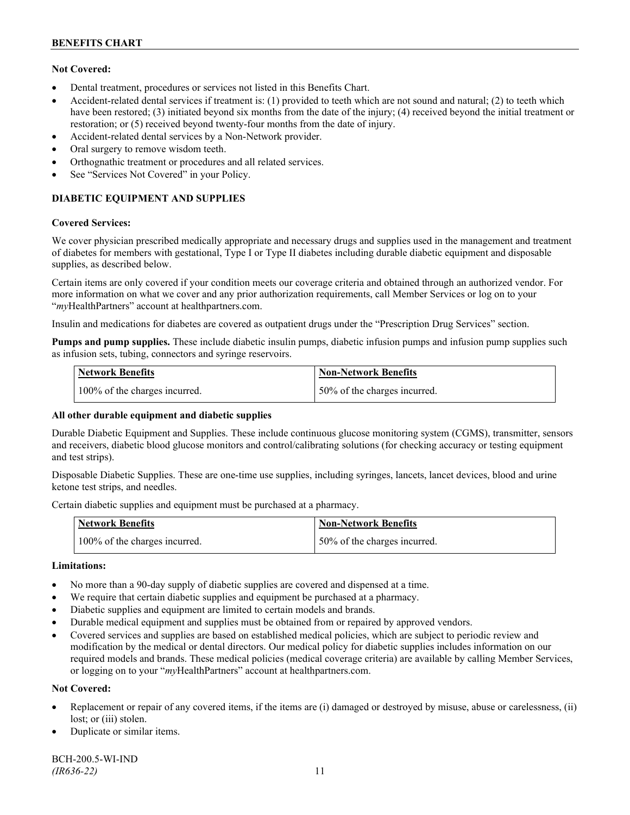### **Not Covered:**

- Dental treatment, procedures or services not listed in this Benefits Chart.
- Accident-related dental services if treatment is: (1) provided to teeth which are not sound and natural; (2) to teeth which have been restored; (3) initiated beyond six months from the date of the injury; (4) received beyond the initial treatment or restoration; or (5) received beyond twenty-four months from the date of injury.
- Accident-related dental services by a Non-Network provider.
- Oral surgery to remove wisdom teeth.
- Orthognathic treatment or procedures and all related services.
- See "Services Not Covered" in your Policy.

# **DIABETIC EQUIPMENT AND SUPPLIES**

#### **Covered Services:**

We cover physician prescribed medically appropriate and necessary drugs and supplies used in the management and treatment of diabetes for members with gestational, Type I or Type II diabetes including durable diabetic equipment and disposable supplies, as described below.

Certain items are only covered if your condition meets our coverage criteria and obtained through an authorized vendor. For more information on what we cover and any prior authorization requirements, call Member Services or log on to your "*my*HealthPartners" account at [healthpartners.com.](http://www.healthpartners.com/)

Insulin and medications for diabetes are covered as outpatient drugs under the "Prescription Drug Services" section.

**Pumps and pump supplies.** These include diabetic insulin pumps, diabetic infusion pumps and infusion pump supplies such as infusion sets, tubing, connectors and syringe reservoirs.

| <b>Network Benefits</b>       | <b>Non-Network Benefits</b>  |
|-------------------------------|------------------------------|
| 100% of the charges incurred. | 50% of the charges incurred. |

### **All other durable equipment and diabetic supplies**

Durable Diabetic Equipment and Supplies. These include continuous glucose monitoring system (CGMS), transmitter, sensors and receivers, diabetic blood glucose monitors and control/calibrating solutions (for checking accuracy or testing equipment and test strips).

Disposable Diabetic Supplies. These are one-time use supplies, including syringes, lancets, lancet devices, blood and urine ketone test strips, and needles.

Certain diabetic supplies and equipment must be purchased at a pharmacy.

| <b>Network Benefits</b>       | <b>Non-Network Benefits</b>  |
|-------------------------------|------------------------------|
| 100% of the charges incurred. | 50% of the charges incurred. |

### **Limitations:**

- No more than a 90-day supply of diabetic supplies are covered and dispensed at a time.
- We require that certain diabetic supplies and equipment be purchased at a pharmacy.
- Diabetic supplies and equipment are limited to certain models and brands.
- Durable medical equipment and supplies must be obtained from or repaired by approved vendors.
- Covered services and supplies are based on established medical policies, which are subject to periodic review and modification by the medical or dental directors. Our medical policy for diabetic supplies includes information on our required models and brands. These medical policies (medical coverage criteria) are available by calling Member Services, or logging on to your "*my*HealthPartners" account at healthpartners.com.

### **Not Covered:**

- Replacement or repair of any covered items, if the items are (i) damaged or destroyed by misuse, abuse or carelessness, (ii) lost; or (iii) stolen.
- Duplicate or similar items.

BCH-200.5-WI-IND *(IR636-22)* 11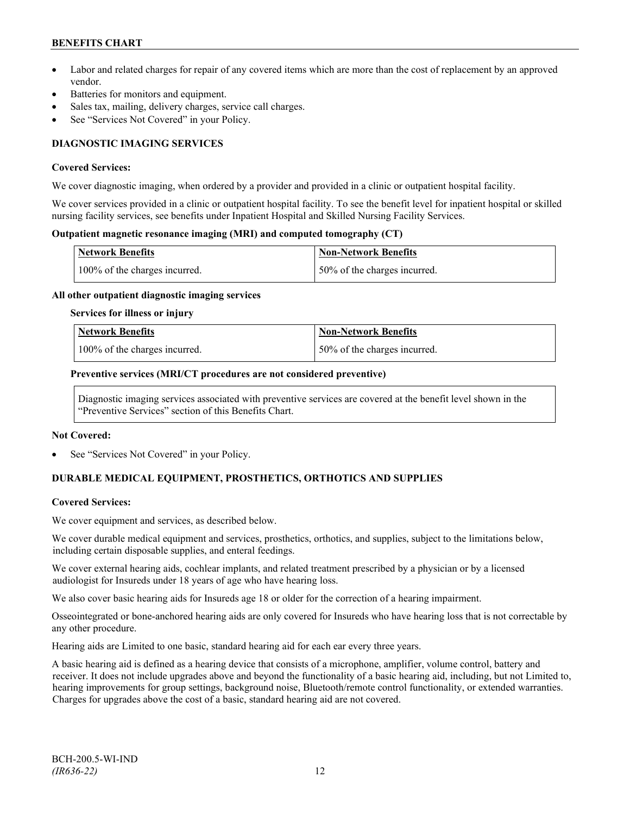# **BENEFITS CHART**

- Labor and related charges for repair of any covered items which are more than the cost of replacement by an approved vendor.
- Batteries for monitors and equipment.
- Sales tax, mailing, delivery charges, service call charges.
- See "Services Not Covered" in your Policy.

# **DIAGNOSTIC IMAGING SERVICES**

#### **Covered Services:**

We cover diagnostic imaging, when ordered by a provider and provided in a clinic or outpatient hospital facility.

We cover services provided in a clinic or outpatient hospital facility. To see the benefit level for inpatient hospital or skilled nursing facility services, see benefits under Inpatient Hospital and Skilled Nursing Facility Services.

### **Outpatient magnetic resonance imaging (MRI) and computed tomography (CT)**

| <b>Network Benefits</b>       | Non-Network Benefits         |
|-------------------------------|------------------------------|
| 100% of the charges incurred. | 50% of the charges incurred. |

#### **All other outpatient diagnostic imaging services**

#### **Services for illness or injury**

| Network Benefits              | Non-Network Benefits         |
|-------------------------------|------------------------------|
| 100% of the charges incurred. | 50% of the charges incurred. |

#### **Preventive services (MRI/CT procedures are not considered preventive)**

Diagnostic imaging services associated with preventive services are covered at the benefit level shown in the "Preventive Services" section of this Benefits Chart.

#### **Not Covered:**

See "Services Not Covered" in your Policy.

# **DURABLE MEDICAL EQUIPMENT, PROSTHETICS, ORTHOTICS AND SUPPLIES**

### **Covered Services:**

We cover equipment and services, as described below.

We cover durable medical equipment and services, prosthetics, orthotics, and supplies, subject to the limitations below, including certain disposable supplies, and enteral feedings.

We cover external hearing aids, cochlear implants, and related treatment prescribed by a physician or by a licensed audiologist for Insureds under 18 years of age who have hearing loss.

We also cover basic hearing aids for Insureds age 18 or older for the correction of a hearing impairment.

Osseointegrated or bone-anchored hearing aids are only covered for Insureds who have hearing loss that is not correctable by any other procedure.

Hearing aids are Limited to one basic, standard hearing aid for each ear every three years.

A basic hearing aid is defined as a hearing device that consists of a microphone, amplifier, volume control, battery and receiver. It does not include upgrades above and beyond the functionality of a basic hearing aid, including, but not Limited to, hearing improvements for group settings, background noise, Bluetooth/remote control functionality, or extended warranties. Charges for upgrades above the cost of a basic, standard hearing aid are not covered.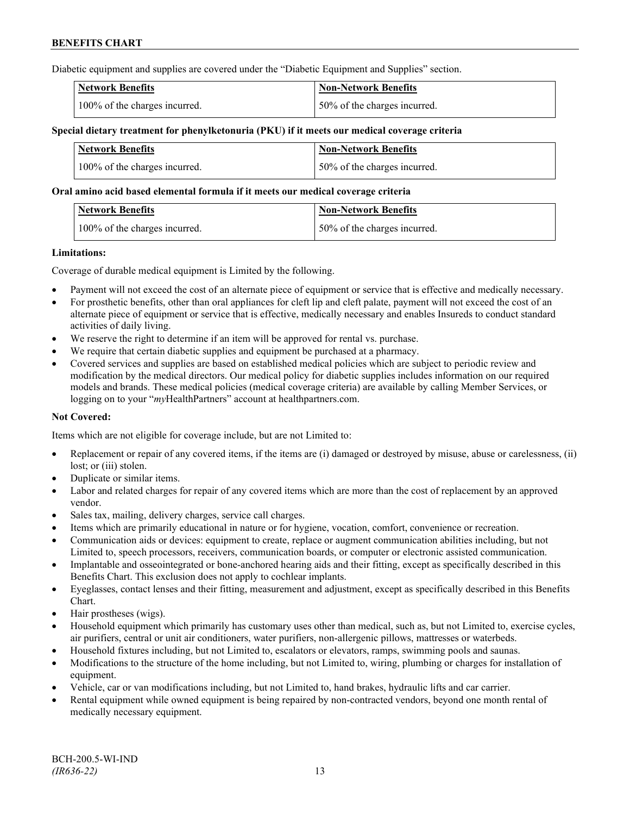Diabetic equipment and supplies are covered under the "Diabetic Equipment and Supplies" section.

| <b>Network Benefits</b>       | <b>Non-Network Benefits</b>  |
|-------------------------------|------------------------------|
| 100% of the charges incurred. | 50% of the charges incurred. |

### **Special dietary treatment for phenylketonuria (PKU) if it meets our medical coverage criteria**

| <b>Network Benefits</b>       | <b>Non-Network Benefits</b>  |
|-------------------------------|------------------------------|
| 100% of the charges incurred. | 50% of the charges incurred. |

#### **Oral amino acid based elemental formula if it meets our medical coverage criteria**

| <b>Network Benefits</b>       | 'Non-Network Benefits        |
|-------------------------------|------------------------------|
| 100% of the charges incurred. | 50% of the charges incurred. |

#### **Limitations:**

Coverage of durable medical equipment is Limited by the following.

- Payment will not exceed the cost of an alternate piece of equipment or service that is effective and medically necessary.
- For prosthetic benefits, other than oral appliances for cleft lip and cleft palate, payment will not exceed the cost of an alternate piece of equipment or service that is effective, medically necessary and enables Insureds to conduct standard activities of daily living.
- We reserve the right to determine if an item will be approved for rental vs. purchase.
- We require that certain diabetic supplies and equipment be purchased at a pharmacy.
- Covered services and supplies are based on established medical policies which are subject to periodic review and modification by the medical directors. Our medical policy for diabetic supplies includes information on our required models and brands. These medical policies (medical coverage criteria) are available by calling Member Services, or logging on to your "*my*HealthPartners" account at [healthpartners.com.](http://www.healthpartners.com/)

### **Not Covered:**

Items which are not eligible for coverage include, but are not Limited to:

- Replacement or repair of any covered items, if the items are (i) damaged or destroyed by misuse, abuse or carelessness, (ii) lost; or (iii) stolen.
- Duplicate or similar items.
- Labor and related charges for repair of any covered items which are more than the cost of replacement by an approved vendor.
- Sales tax, mailing, delivery charges, service call charges.
- Items which are primarily educational in nature or for hygiene, vocation, comfort, convenience or recreation.
- Communication aids or devices: equipment to create, replace or augment communication abilities including, but not Limited to, speech processors, receivers, communication boards, or computer or electronic assisted communication.
- Implantable and osseointegrated or bone-anchored hearing aids and their fitting, except as specifically described in this Benefits Chart. This exclusion does not apply to cochlear implants.
- Eyeglasses, contact lenses and their fitting, measurement and adjustment, except as specifically described in this Benefits Chart.
- Hair prostheses (wigs).
- Household equipment which primarily has customary uses other than medical, such as, but not Limited to, exercise cycles, air purifiers, central or unit air conditioners, water purifiers, non-allergenic pillows, mattresses or waterbeds.
- Household fixtures including, but not Limited to, escalators or elevators, ramps, swimming pools and saunas.
- Modifications to the structure of the home including, but not Limited to, wiring, plumbing or charges for installation of equipment.
- Vehicle, car or van modifications including, but not Limited to, hand brakes, hydraulic lifts and car carrier.
- Rental equipment while owned equipment is being repaired by non-contracted vendors, beyond one month rental of medically necessary equipment.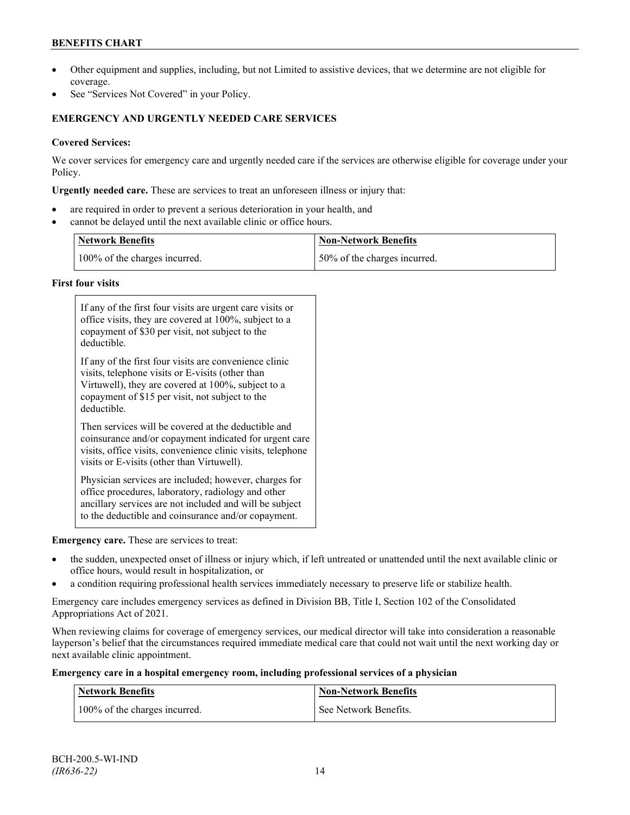# **BENEFITS CHART**

- Other equipment and supplies, including, but not Limited to assistive devices, that we determine are not eligible for coverage.
- See "Services Not Covered" in your Policy.

# **EMERGENCY AND URGENTLY NEEDED CARE SERVICES**

# **Covered Services:**

We cover services for emergency care and urgently needed care if the services are otherwise eligible for coverage under your Policy.

**Urgently needed care.** These are services to treat an unforeseen illness or injury that:

- are required in order to prevent a serious deterioration in your health, and
- cannot be delayed until the next available clinic or office hours.

| <b>Network Benefits</b>       | <b>Non-Network Benefits</b>  |
|-------------------------------|------------------------------|
| 100% of the charges incurred. | 50% of the charges incurred. |

### **First four visits**

| If any of the first four visits are urgent care visits or<br>office visits, they are covered at 100%, subject to a<br>copayment of \$30 per visit, not subject to the<br>deductible.                                               |
|------------------------------------------------------------------------------------------------------------------------------------------------------------------------------------------------------------------------------------|
| If any of the first four visits are convenience clinic<br>visits, telephone visits or E-visits (other than<br>Virtuwell), they are covered at 100%, subject to a<br>copayment of \$15 per visit, not subject to the<br>deductible. |
| Then services will be covered at the deductible and<br>coinsurance and/or copayment indicated for urgent care<br>visits, office visits, convenience clinic visits, telephone<br>visits or E-visits (other than Virtuwell).         |
| Physician services are included; however, charges for<br>office procedures, laboratory, radiology and other<br>ancillary services are not included and will be subject<br>to the deductible and coinsurance and/or copayment.      |

### **Emergency care.** These are services to treat:

- the sudden, unexpected onset of illness or injury which, if left untreated or unattended until the next available clinic or office hours, would result in hospitalization, or
- a condition requiring professional health services immediately necessary to preserve life or stabilize health.

Emergency care includes emergency services as defined in Division BB, Title I, Section 102 of the Consolidated Appropriations Act of 2021.

When reviewing claims for coverage of emergency services, our medical director will take into consideration a reasonable layperson's belief that the circumstances required immediate medical care that could not wait until the next working day or next available clinic appointment.

### **Emergency care in a hospital emergency room, including professional services of a physician**

| <b>Network Benefits</b>       | <b>Non-Network Benefits</b> |
|-------------------------------|-----------------------------|
| 100% of the charges incurred. | See Network Benefits.       |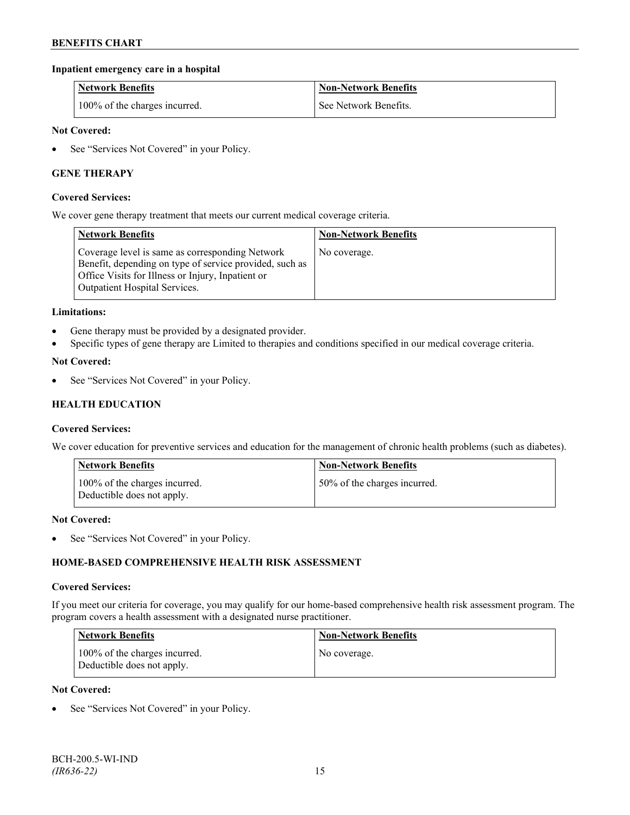### **Inpatient emergency care in a hospital**

| <b>Network Benefits</b>       | <b>Non-Network Benefits</b> |
|-------------------------------|-----------------------------|
| 100% of the charges incurred. | See Network Benefits.       |

### **Not Covered:**

• See "Services Not Covered" in your Policy.

### **GENE THERAPY**

#### **Covered Services:**

We cover gene therapy treatment that meets our current medical coverage criteria.

| <b>Network Benefits</b>                                                                                                                                                                                 | <b>Non-Network Benefits</b> |
|---------------------------------------------------------------------------------------------------------------------------------------------------------------------------------------------------------|-----------------------------|
| Coverage level is same as corresponding Network<br>Benefit, depending on type of service provided, such as<br>Office Visits for Illness or Injury, Inpatient or<br><b>Outpatient Hospital Services.</b> | No coverage.                |

#### **Limitations:**

- Gene therapy must be provided by a designated provider.
- Specific types of gene therapy are Limited to therapies and conditions specified in our medical coverage criteria.

#### **Not Covered:**

See "Services Not Covered" in your Policy.

### **HEALTH EDUCATION**

#### **Covered Services:**

We cover education for preventive services and education for the management of chronic health problems (such as diabetes).

| <b>Network Benefits</b>                                     | <b>Non-Network Benefits</b>  |
|-------------------------------------------------------------|------------------------------|
| 100% of the charges incurred.<br>Deductible does not apply. | 50% of the charges incurred. |

#### **Not Covered:**

• See "Services Not Covered" in your Policy.

### **HOME-BASED COMPREHENSIVE HEALTH RISK ASSESSMENT**

#### **Covered Services:**

If you meet our criteria for coverage, you may qualify for our home-based comprehensive health risk assessment program. The program covers a health assessment with a designated nurse practitioner.

| <b>Network Benefits</b>                                     | <b>Non-Network Benefits</b> |
|-------------------------------------------------------------|-----------------------------|
| 100% of the charges incurred.<br>Deductible does not apply. | No coverage.                |

#### **Not Covered:**

See "Services Not Covered" in your Policy.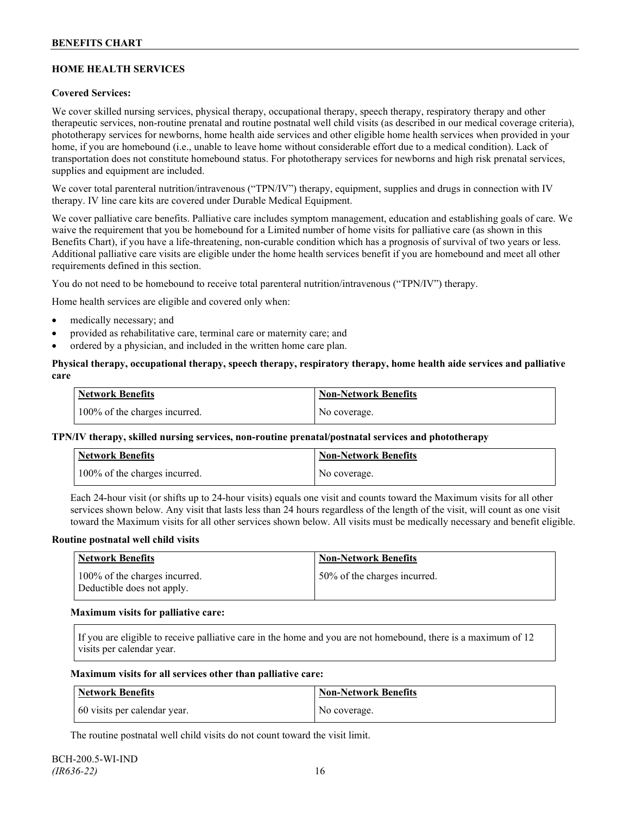# **HOME HEALTH SERVICES**

### **Covered Services:**

We cover skilled nursing services, physical therapy, occupational therapy, speech therapy, respiratory therapy and other therapeutic services, non-routine prenatal and routine postnatal well child visits (as described in our medical coverage criteria), phototherapy services for newborns, home health aide services and other eligible home health services when provided in your home, if you are homebound (i.e., unable to leave home without considerable effort due to a medical condition). Lack of transportation does not constitute homebound status. For phototherapy services for newborns and high risk prenatal services, supplies and equipment are included.

We cover total parenteral nutrition/intravenous ("TPN/IV") therapy, equipment, supplies and drugs in connection with IV therapy. IV line care kits are covered under Durable Medical Equipment.

We cover palliative care benefits. Palliative care includes symptom management, education and establishing goals of care. We waive the requirement that you be homebound for a Limited number of home visits for palliative care (as shown in this Benefits Chart), if you have a life-threatening, non-curable condition which has a prognosis of survival of two years or less. Additional palliative care visits are eligible under the home health services benefit if you are homebound and meet all other requirements defined in this section.

You do not need to be homebound to receive total parenteral nutrition/intravenous ("TPN/IV") therapy.

Home health services are eligible and covered only when:

- medically necessary; and
- provided as rehabilitative care, terminal care or maternity care; and
- ordered by a physician, and included in the written home care plan.

### **Physical therapy, occupational therapy, speech therapy, respiratory therapy, home health aide services and palliative care**

| <b>Network Benefits</b>       | <b>Non-Network Benefits</b> |
|-------------------------------|-----------------------------|
| 100% of the charges incurred. | No coverage.                |

### **TPN/IV therapy, skilled nursing services, non-routine prenatal/postnatal services and phototherapy**

| <b>Network Benefits</b>       | <b>Non-Network Benefits</b> |
|-------------------------------|-----------------------------|
| 100% of the charges incurred. | No coverage.                |

Each 24-hour visit (or shifts up to 24-hour visits) equals one visit and counts toward the Maximum visits for all other services shown below. Any visit that lasts less than 24 hours regardless of the length of the visit, will count as one visit toward the Maximum visits for all other services shown below. All visits must be medically necessary and benefit eligible.

#### **Routine postnatal well child visits**

| Network Benefits                                            | <b>Non-Network Benefits</b>  |
|-------------------------------------------------------------|------------------------------|
| 100% of the charges incurred.<br>Deductible does not apply. | 50% of the charges incurred. |

#### **Maximum visits for palliative care:**

If you are eligible to receive palliative care in the home and you are not homebound, there is a maximum of 12 visits per calendar year.

#### **Maximum visits for all services other than palliative care:**

| Network Benefits             | Non-Network Benefits |
|------------------------------|----------------------|
| 60 visits per calendar year. | No coverage.         |

The routine postnatal well child visits do not count toward the visit limit.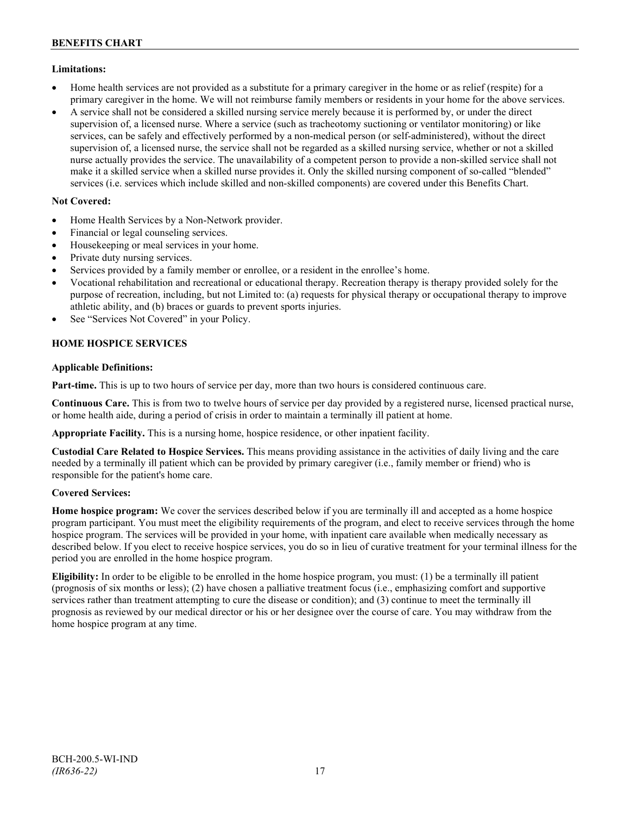### **Limitations:**

- Home health services are not provided as a substitute for a primary caregiver in the home or as relief (respite) for a primary caregiver in the home. We will not reimburse family members or residents in your home for the above services.
- A service shall not be considered a skilled nursing service merely because it is performed by, or under the direct supervision of, a licensed nurse. Where a service (such as tracheotomy suctioning or ventilator monitoring) or like services, can be safely and effectively performed by a non-medical person (or self-administered), without the direct supervision of, a licensed nurse, the service shall not be regarded as a skilled nursing service, whether or not a skilled nurse actually provides the service. The unavailability of a competent person to provide a non-skilled service shall not make it a skilled service when a skilled nurse provides it. Only the skilled nursing component of so-called "blended" services (i.e. services which include skilled and non-skilled components) are covered under this Benefits Chart.

# **Not Covered:**

- Home Health Services by a Non-Network provider.
- Financial or legal counseling services.
- Housekeeping or meal services in your home.
- Private duty nursing services.
- Services provided by a family member or enrollee, or a resident in the enrollee's home.
- Vocational rehabilitation and recreational or educational therapy. Recreation therapy is therapy provided solely for the purpose of recreation, including, but not Limited to: (a) requests for physical therapy or occupational therapy to improve athletic ability, and (b) braces or guards to prevent sports injuries.
- See "Services Not Covered" in your Policy.

# **HOME HOSPICE SERVICES**

### **Applicable Definitions:**

**Part-time.** This is up to two hours of service per day, more than two hours is considered continuous care.

**Continuous Care.** This is from two to twelve hours of service per day provided by a registered nurse, licensed practical nurse, or home health aide, during a period of crisis in order to maintain a terminally ill patient at home.

**Appropriate Facility.** This is a nursing home, hospice residence, or other inpatient facility.

**Custodial Care Related to Hospice Services.** This means providing assistance in the activities of daily living and the care needed by a terminally ill patient which can be provided by primary caregiver (i.e., family member or friend) who is responsible for the patient's home care.

### **Covered Services:**

**Home hospice program:** We cover the services described below if you are terminally ill and accepted as a home hospice program participant. You must meet the eligibility requirements of the program, and elect to receive services through the home hospice program. The services will be provided in your home, with inpatient care available when medically necessary as described below. If you elect to receive hospice services, you do so in lieu of curative treatment for your terminal illness for the period you are enrolled in the home hospice program.

**Eligibility:** In order to be eligible to be enrolled in the home hospice program, you must: (1) be a terminally ill patient (prognosis of six months or less); (2) have chosen a palliative treatment focus (i.e., emphasizing comfort and supportive services rather than treatment attempting to cure the disease or condition); and (3) continue to meet the terminally ill prognosis as reviewed by our medical director or his or her designee over the course of care. You may withdraw from the home hospice program at any time.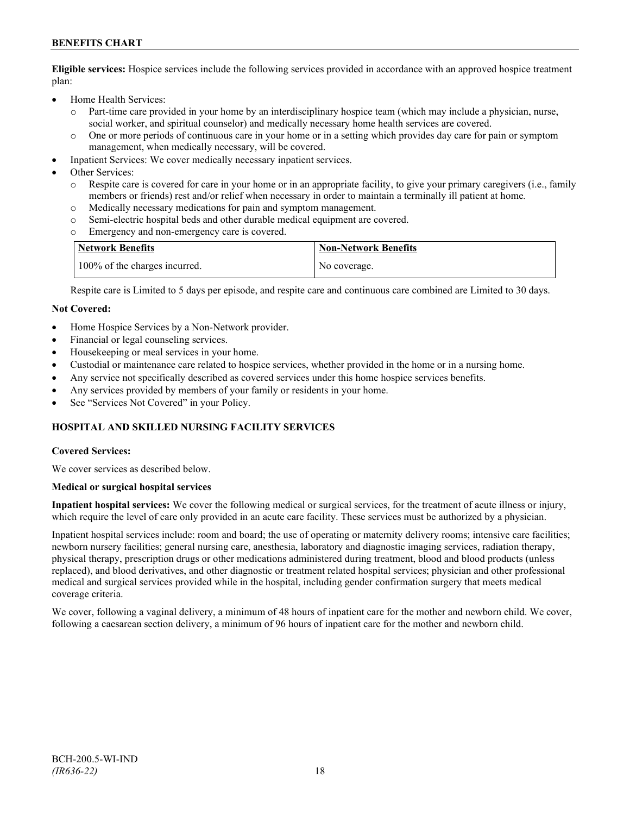# **BENEFITS CHART**

**Eligible services:** Hospice services include the following services provided in accordance with an approved hospice treatment plan:

- Home Health Services:
	- o Part-time care provided in your home by an interdisciplinary hospice team (which may include a physician, nurse, social worker, and spiritual counselor) and medically necessary home health services are covered.
	- o One or more periods of continuous care in your home or in a setting which provides day care for pain or symptom management, when medically necessary, will be covered.
- Inpatient Services: We cover medically necessary inpatient services.
- Other Services:
	- Respite care is covered for care in your home or in an appropriate facility, to give your primary caregivers (i.e., family members or friends) rest and/or relief when necessary in order to maintain a terminally ill patient at home*.*
	- o Medically necessary medications for pain and symptom management.
	- o Semi-electric hospital beds and other durable medical equipment are covered.
	- Emergency and non-emergency care is covered.

| Network Benefits              | <b>Non-Network Benefits</b> |
|-------------------------------|-----------------------------|
| 100% of the charges incurred. | No coverage.                |

Respite care is Limited to 5 days per episode, and respite care and continuous care combined are Limited to 30 days.

#### **Not Covered:**

- Home Hospice Services by a Non-Network provider.
- Financial or legal counseling services.
- Housekeeping or meal services in your home.
- Custodial or maintenance care related to hospice services, whether provided in the home or in a nursing home.
- Any service not specifically described as covered services under this home hospice services benefits.
- Any services provided by members of your family or residents in your home.
- See "Services Not Covered" in your Policy.

### **HOSPITAL AND SKILLED NURSING FACILITY SERVICES**

#### **Covered Services:**

We cover services as described below.

#### **Medical or surgical hospital services**

**Inpatient hospital services:** We cover the following medical or surgical services, for the treatment of acute illness or injury, which require the level of care only provided in an acute care facility. These services must be authorized by a physician.

Inpatient hospital services include: room and board; the use of operating or maternity delivery rooms; intensive care facilities; newborn nursery facilities; general nursing care, anesthesia, laboratory and diagnostic imaging services, radiation therapy, physical therapy, prescription drugs or other medications administered during treatment, blood and blood products (unless replaced), and blood derivatives, and other diagnostic or treatment related hospital services; physician and other professional medical and surgical services provided while in the hospital, including gender confirmation surgery that meets medical coverage criteria.

We cover, following a vaginal delivery, a minimum of 48 hours of inpatient care for the mother and newborn child. We cover, following a caesarean section delivery, a minimum of 96 hours of inpatient care for the mother and newborn child.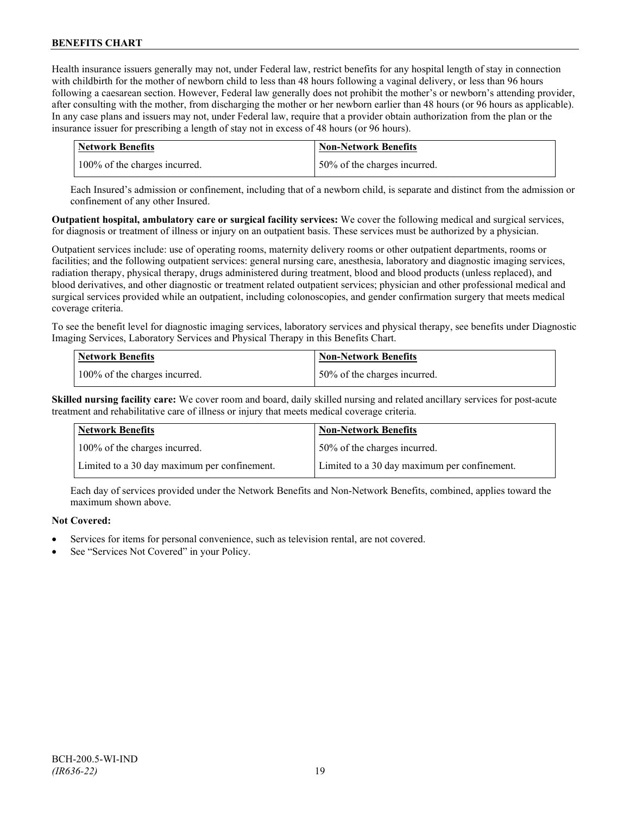Health insurance issuers generally may not, under Federal law, restrict benefits for any hospital length of stay in connection with childbirth for the mother of newborn child to less than 48 hours following a vaginal delivery, or less than 96 hours following a caesarean section. However, Federal law generally does not prohibit the mother's or newborn's attending provider, after consulting with the mother, from discharging the mother or her newborn earlier than 48 hours (or 96 hours as applicable). In any case plans and issuers may not, under Federal law, require that a provider obtain authorization from the plan or the insurance issuer for prescribing a length of stay not in excess of 48 hours (or 96 hours).

| <b>Network Benefits</b>       | Non-Network Benefits         |
|-------------------------------|------------------------------|
| 100% of the charges incurred. | 50% of the charges incurred. |

Each Insured's admission or confinement, including that of a newborn child, is separate and distinct from the admission or confinement of any other Insured.

**Outpatient hospital, ambulatory care or surgical facility services:** We cover the following medical and surgical services, for diagnosis or treatment of illness or injury on an outpatient basis. These services must be authorized by a physician.

Outpatient services include: use of operating rooms, maternity delivery rooms or other outpatient departments, rooms or facilities; and the following outpatient services: general nursing care, anesthesia, laboratory and diagnostic imaging services, radiation therapy, physical therapy, drugs administered during treatment, blood and blood products (unless replaced), and blood derivatives, and other diagnostic or treatment related outpatient services; physician and other professional medical and surgical services provided while an outpatient, including colonoscopies, and gender confirmation surgery that meets medical coverage criteria.

To see the benefit level for diagnostic imaging services, laboratory services and physical therapy, see benefits under Diagnostic Imaging Services, Laboratory Services and Physical Therapy in this Benefits Chart.

| <b>Network Benefits</b>       | <b>Non-Network Benefits</b>  |
|-------------------------------|------------------------------|
| 100% of the charges incurred. | 50% of the charges incurred. |

**Skilled nursing facility care:** We cover room and board, daily skilled nursing and related ancillary services for post-acute treatment and rehabilitative care of illness or injury that meets medical coverage criteria.

| <b>Network Benefits</b>                      | <b>Non-Network Benefits</b>                  |
|----------------------------------------------|----------------------------------------------|
| 100% of the charges incurred.                | 50% of the charges incurred.                 |
| Limited to a 30 day maximum per confinement. | Limited to a 30 day maximum per confinement. |

Each day of services provided under the Network Benefits and Non-Network Benefits, combined, applies toward the maximum shown above.

# **Not Covered:**

- Services for items for personal convenience, such as television rental, are not covered.
- See "Services Not Covered" in your Policy.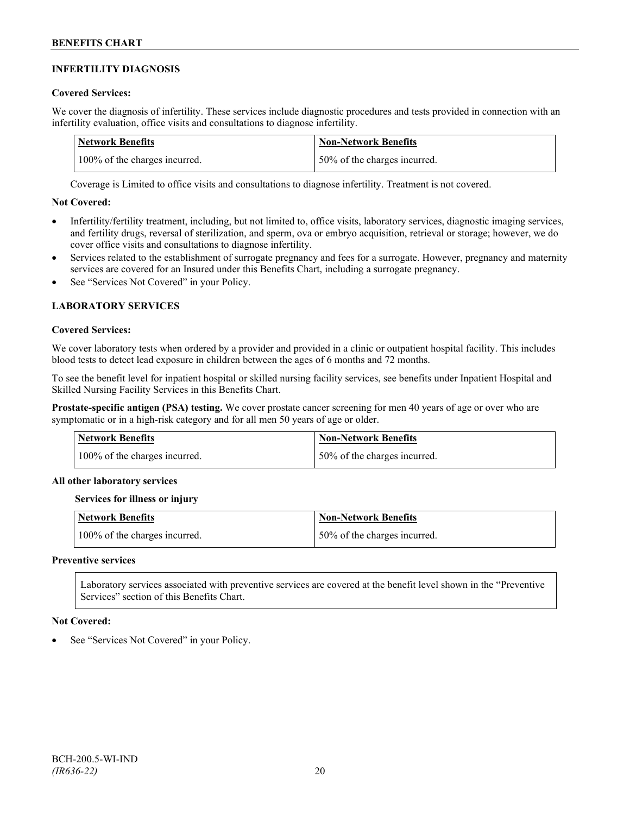### **INFERTILITY DIAGNOSIS**

### **Covered Services:**

We cover the diagnosis of infertility. These services include diagnostic procedures and tests provided in connection with an infertility evaluation, office visits and consultations to diagnose infertility.

| Network Benefits              | <b>Non-Network Benefits</b>  |
|-------------------------------|------------------------------|
| 100% of the charges incurred. | 50% of the charges incurred. |

Coverage is Limited to office visits and consultations to diagnose infertility. Treatment is not covered.

### **Not Covered:**

- Infertility/fertility treatment, including, but not limited to, office visits, laboratory services, diagnostic imaging services, and fertility drugs, reversal of sterilization, and sperm, ova or embryo acquisition, retrieval or storage; however, we do cover office visits and consultations to diagnose infertility.
- Services related to the establishment of surrogate pregnancy and fees for a surrogate. However, pregnancy and maternity services are covered for an Insured under this Benefits Chart, including a surrogate pregnancy.
- See "Services Not Covered" in your Policy.

# **LABORATORY SERVICES**

#### **Covered Services:**

We cover laboratory tests when ordered by a provider and provided in a clinic or outpatient hospital facility. This includes blood tests to detect lead exposure in children between the ages of 6 months and 72 months.

To see the benefit level for inpatient hospital or skilled nursing facility services, see benefits under Inpatient Hospital and Skilled Nursing Facility Services in this Benefits Chart.

**Prostate-specific antigen (PSA) testing.** We cover prostate cancer screening for men 40 years of age or over who are symptomatic or in a high-risk category and for all men 50 years of age or older.

| <b>Network Benefits</b>       | <b>Non-Network Benefits</b>  |
|-------------------------------|------------------------------|
| 100% of the charges incurred. | 50% of the charges incurred. |

### **All other laboratory services**

#### **Services for illness or injury**

| <b>Network Benefits</b>       | <b>Non-Network Benefits</b>  |
|-------------------------------|------------------------------|
| 100% of the charges incurred. | 50% of the charges incurred. |

#### **Preventive services**

Laboratory services associated with preventive services are covered at the benefit level shown in the "Preventive Services" section of this Benefits Chart.

#### **Not Covered:**

See "Services Not Covered" in your Policy.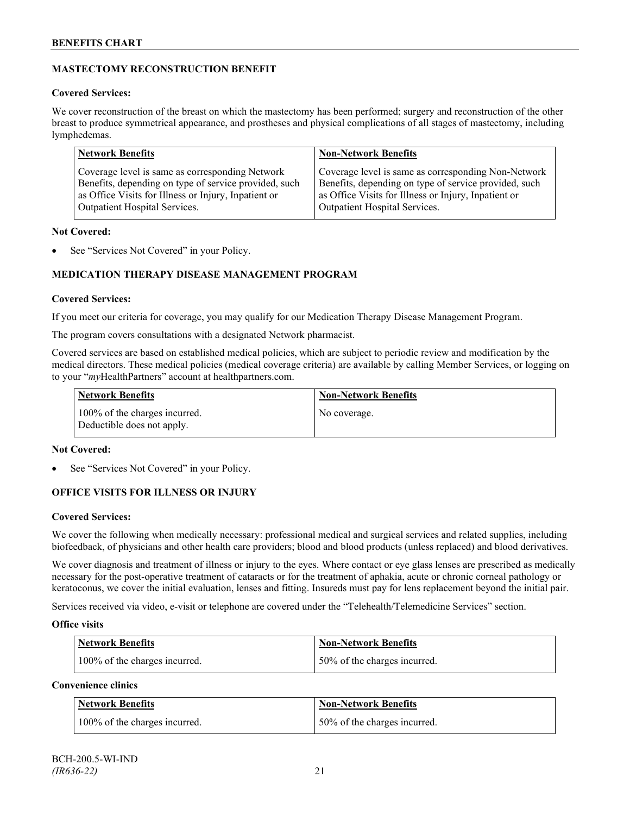# **MASTECTOMY RECONSTRUCTION BENEFIT**

### **Covered Services:**

We cover reconstruction of the breast on which the mastectomy has been performed; surgery and reconstruction of the other breast to produce symmetrical appearance, and prostheses and physical complications of all stages of mastectomy, including lymphedemas.

| <b>Network Benefits</b>                               | <b>Non-Network Benefits</b>                           |
|-------------------------------------------------------|-------------------------------------------------------|
| Coverage level is same as corresponding Network       | Coverage level is same as corresponding Non-Network   |
| Benefits, depending on type of service provided, such | Benefits, depending on type of service provided, such |
| as Office Visits for Illness or Injury, Inpatient or  | as Office Visits for Illness or Injury, Inpatient or  |
| Outpatient Hospital Services.                         | Outpatient Hospital Services.                         |

### **Not Covered:**

See "Services Not Covered" in your Policy.

# **MEDICATION THERAPY DISEASE MANAGEMENT PROGRAM**

### **Covered Services:**

If you meet our criteria for coverage, you may qualify for our Medication Therapy Disease Management Program.

The program covers consultations with a designated Network pharmacist.

Covered services are based on established medical policies, which are subject to periodic review and modification by the medical directors. These medical policies (medical coverage criteria) are available by calling Member Services, or logging on to your "*my*HealthPartners" account at [healthpartners.com.](http://www.healthpartners.com/)

| <b>Network Benefits</b>                                     | <b>Non-Network Benefits</b> |
|-------------------------------------------------------------|-----------------------------|
| 100% of the charges incurred.<br>Deductible does not apply. | No coverage.                |

### **Not Covered:**

See "Services Not Covered" in your Policy.

# **OFFICE VISITS FOR ILLNESS OR INJURY**

### **Covered Services:**

We cover the following when medically necessary: professional medical and surgical services and related supplies, including biofeedback, of physicians and other health care providers; blood and blood products (unless replaced) and blood derivatives.

We cover diagnosis and treatment of illness or injury to the eyes. Where contact or eye glass lenses are prescribed as medically necessary for the post-operative treatment of cataracts or for the treatment of aphakia, acute or chronic corneal pathology or keratoconus, we cover the initial evaluation, lenses and fitting. Insureds must pay for lens replacement beyond the initial pair.

Services received via video, e-visit or telephone are covered under the "Telehealth/Telemedicine Services" section.

### **Office visits**

| <b>Network Benefits</b>       | <b>Non-Network Benefits</b>  |
|-------------------------------|------------------------------|
| 100% of the charges incurred. | 50% of the charges incurred. |

# **Convenience clinics**

| <b>Network Benefits</b>       | <b>Non-Network Benefits</b>  |
|-------------------------------|------------------------------|
| 100% of the charges incurred. | 50% of the charges incurred. |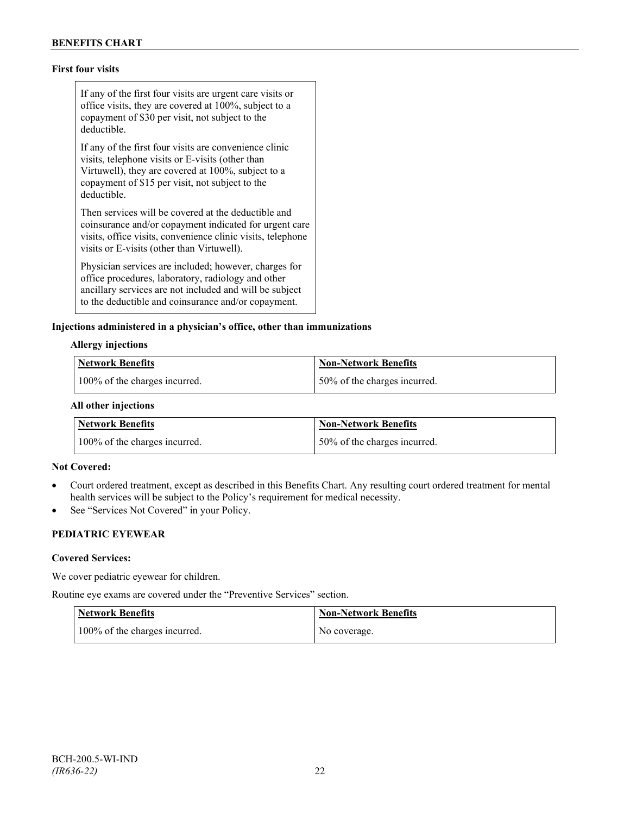# **First four visits**

If any of the first four visits are urgent care visits or office visits, they are covered at 100%, subject to a copayment of \$30 per visit, not subject to the deductible.

If any of the first four visits are convenience clinic visits, telephone visits or E-visits (other than Virtuwell), they are covered at 100%, subject to a copayment of \$15 per visit, not subject to the deductible.

Then services will be covered at the deductible and coinsurance and/or copayment indicated for urgent care visits, office visits, convenience clinic visits, telephone visits or E-visits (other than Virtuwell).

Physician services are included; however, charges for office procedures, laboratory, radiology and other ancillary services are not included and will be subject to the deductible and coinsurance and/or copayment.

#### **Injections administered in a physician's office, other than immunizations**

#### **Allergy injections**

| <b>Network Benefits</b>       | Non-Network Benefits         |
|-------------------------------|------------------------------|
| 100% of the charges incurred. | 50% of the charges incurred. |

#### **All other injections**

| <b>Network Benefits</b>       | Non-Network Benefits         |
|-------------------------------|------------------------------|
| 100% of the charges incurred. | 50% of the charges incurred. |

#### **Not Covered:**

- Court ordered treatment, except as described in this Benefits Chart. Any resulting court ordered treatment for mental health services will be subject to the Policy's requirement for medical necessity.
- See "Services Not Covered" in your Policy.

# **PEDIATRIC EYEWEAR**

#### **Covered Services:**

We cover pediatric eyewear for children.

Routine eye exams are covered under the "Preventive Services" section.

| <b>Network Benefits</b>       | <b>Non-Network Benefits</b> |
|-------------------------------|-----------------------------|
| 100% of the charges incurred. | No coverage.                |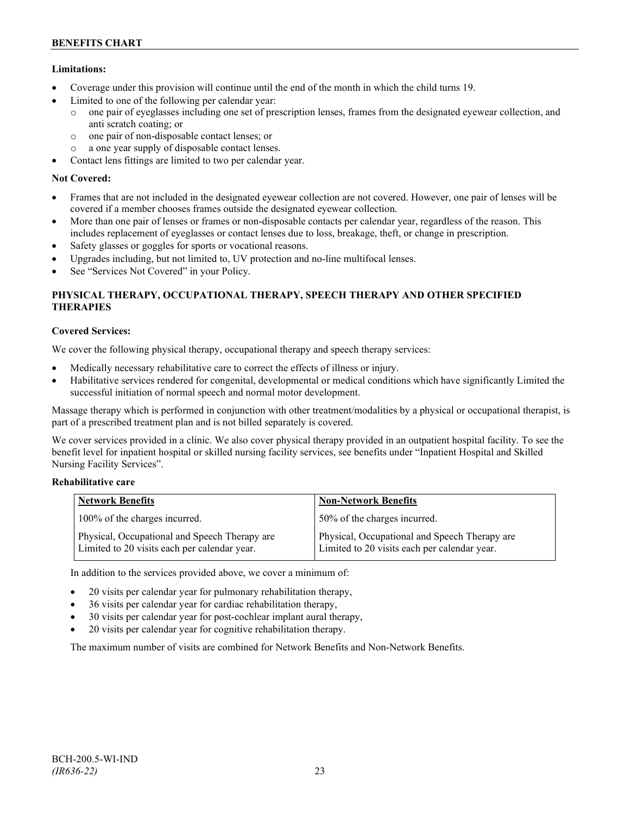# **Limitations:**

- Coverage under this provision will continue until the end of the month in which the child turns 19.
- Limited to one of the following per calendar year:
	- o one pair of eyeglasses including one set of prescription lenses, frames from the designated eyewear collection, and anti scratch coating; or
	- o one pair of non-disposable contact lenses; or
	- o a one year supply of disposable contact lenses.
- Contact lens fittings are limited to two per calendar year.

# **Not Covered:**

- Frames that are not included in the designated eyewear collection are not covered. However, one pair of lenses will be covered if a member chooses frames outside the designated eyewear collection.
- More than one pair of lenses or frames or non-disposable contacts per calendar year, regardless of the reason. This includes replacement of eyeglasses or contact lenses due to loss, breakage, theft, or change in prescription.
- Safety glasses or goggles for sports or vocational reasons.
- Upgrades including, but not limited to, UV protection and no-line multifocal lenses.
- See "Services Not Covered" in your Policy.

# **PHYSICAL THERAPY, OCCUPATIONAL THERAPY, SPEECH THERAPY AND OTHER SPECIFIED THERAPIES**

# **Covered Services:**

We cover the following physical therapy, occupational therapy and speech therapy services:

- Medically necessary rehabilitative care to correct the effects of illness or injury.
- Habilitative services rendered for congenital, developmental or medical conditions which have significantly Limited the successful initiation of normal speech and normal motor development.

Massage therapy which is performed in conjunction with other treatment/modalities by a physical or occupational therapist, is part of a prescribed treatment plan and is not billed separately is covered.

We cover services provided in a clinic. We also cover physical therapy provided in an outpatient hospital facility. To see the benefit level for inpatient hospital or skilled nursing facility services, see benefits under "Inpatient Hospital and Skilled Nursing Facility Services".

### **Rehabilitative care**

| <b>Network Benefits</b>                                                                       | <b>Non-Network Benefits</b>                                                                   |
|-----------------------------------------------------------------------------------------------|-----------------------------------------------------------------------------------------------|
| 100% of the charges incurred.                                                                 | 50% of the charges incurred.                                                                  |
| Physical, Occupational and Speech Therapy are<br>Limited to 20 visits each per calendar year. | Physical, Occupational and Speech Therapy are<br>Limited to 20 visits each per calendar year. |

In addition to the services provided above, we cover a minimum of:

- 20 visits per calendar year for pulmonary rehabilitation therapy,
- 36 visits per calendar year for cardiac rehabilitation therapy,
- 30 visits per calendar year for post-cochlear implant aural therapy,
- 20 visits per calendar year for cognitive rehabilitation therapy.

The maximum number of visits are combined for Network Benefits and Non-Network Benefits.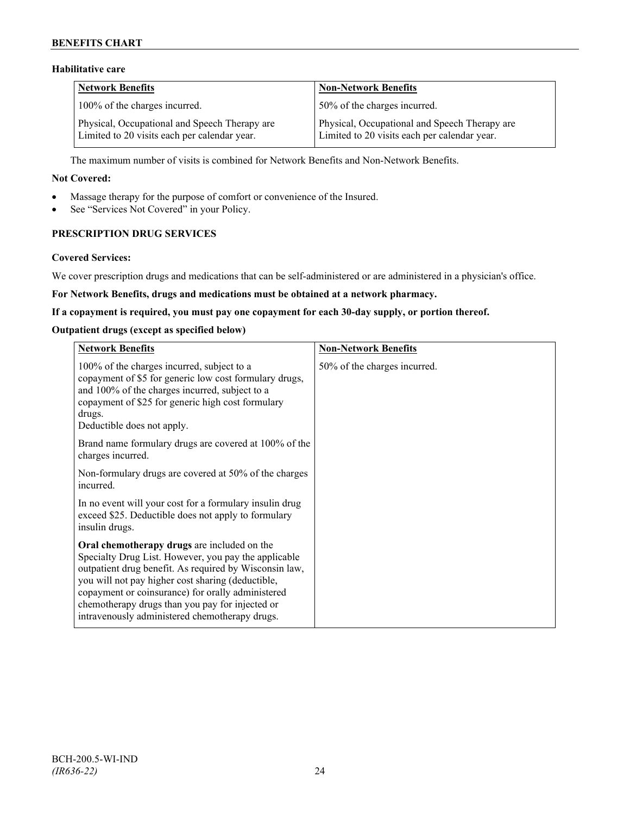# **BENEFITS CHART**

# **Habilitative care**

| <b>Network Benefits</b>                                                                       | <b>Non-Network Benefits</b>                                                                   |
|-----------------------------------------------------------------------------------------------|-----------------------------------------------------------------------------------------------|
| 100% of the charges incurred.                                                                 | 50% of the charges incurred.                                                                  |
| Physical, Occupational and Speech Therapy are<br>Limited to 20 visits each per calendar year. | Physical, Occupational and Speech Therapy are<br>Limited to 20 visits each per calendar year. |

The maximum number of visits is combined for Network Benefits and Non-Network Benefits.

### **Not Covered:**

- Massage therapy for the purpose of comfort or convenience of the Insured.
- See "Services Not Covered" in your Policy.

# **PRESCRIPTION DRUG SERVICES**

#### **Covered Services:**

We cover prescription drugs and medications that can be self-administered or are administered in a physician's office.

### **For Network Benefits, drugs and medications must be obtained at a network pharmacy.**

#### **If a copayment is required, you must pay one copayment for each 30-day supply, or portion thereof.**

### **Outpatient drugs (except as specified below)**

| <b>Network Benefits</b>                                                                                                                                                                                                                                                                                                                                                      | <b>Non-Network Benefits</b>  |
|------------------------------------------------------------------------------------------------------------------------------------------------------------------------------------------------------------------------------------------------------------------------------------------------------------------------------------------------------------------------------|------------------------------|
| 100% of the charges incurred, subject to a<br>copayment of \$5 for generic low cost formulary drugs,<br>and 100% of the charges incurred, subject to a<br>copayment of \$25 for generic high cost formulary<br>drugs.<br>Deductible does not apply.                                                                                                                          | 50% of the charges incurred. |
| Brand name formulary drugs are covered at 100% of the<br>charges incurred.                                                                                                                                                                                                                                                                                                   |                              |
| Non-formulary drugs are covered at 50% of the charges<br>incurred.                                                                                                                                                                                                                                                                                                           |                              |
| In no event will your cost for a formulary insulin drug<br>exceed \$25. Deductible does not apply to formulary<br>insulin drugs.                                                                                                                                                                                                                                             |                              |
| Oral chemotherapy drugs are included on the<br>Specialty Drug List. However, you pay the applicable<br>outpatient drug benefit. As required by Wisconsin law,<br>you will not pay higher cost sharing (deductible,<br>copayment or coinsurance) for orally administered<br>chemotherapy drugs than you pay for injected or<br>intravenously administered chemotherapy drugs. |                              |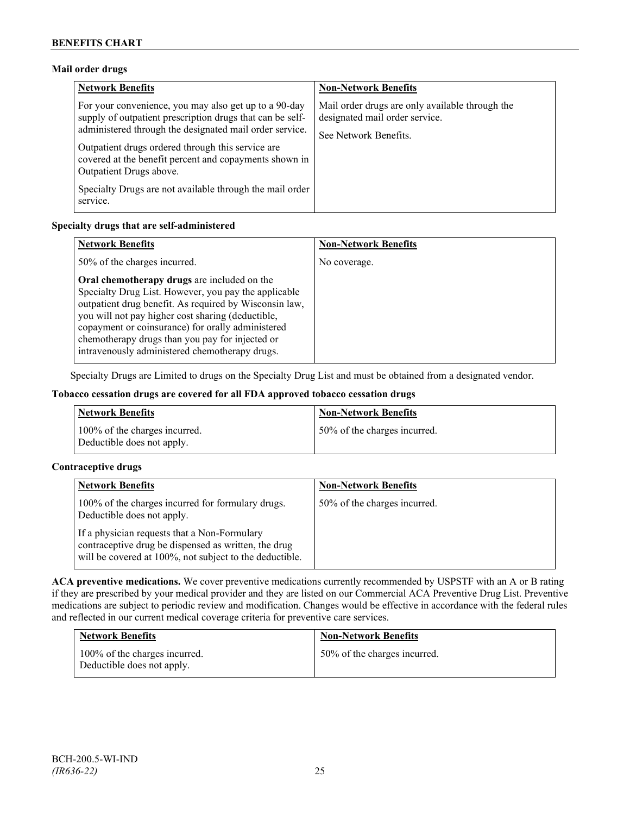### **Mail order drugs**

| <b>Network Benefits</b>                                                                                                                                                                                                                                                                                                 | <b>Non-Network Benefits</b>                                                                                |
|-------------------------------------------------------------------------------------------------------------------------------------------------------------------------------------------------------------------------------------------------------------------------------------------------------------------------|------------------------------------------------------------------------------------------------------------|
| For your convenience, you may also get up to a 90-day<br>supply of outpatient prescription drugs that can be self-<br>administered through the designated mail order service.<br>Outpatient drugs ordered through this service are<br>covered at the benefit percent and copayments shown in<br>Outpatient Drugs above. | Mail order drugs are only available through the<br>designated mail order service.<br>See Network Benefits. |
| Specialty Drugs are not available through the mail order<br>service.                                                                                                                                                                                                                                                    |                                                                                                            |

### **Specialty drugs that are self-administered**

| <b>Network Benefits</b>                                                                                                                                                                                                                                                                                                                                                      | <b>Non-Network Benefits</b> |
|------------------------------------------------------------------------------------------------------------------------------------------------------------------------------------------------------------------------------------------------------------------------------------------------------------------------------------------------------------------------------|-----------------------------|
| 50% of the charges incurred.                                                                                                                                                                                                                                                                                                                                                 | No coverage.                |
| Oral chemotherapy drugs are included on the<br>Specialty Drug List. However, you pay the applicable<br>outpatient drug benefit. As required by Wisconsin law,<br>you will not pay higher cost sharing (deductible,<br>copayment or coinsurance) for orally administered<br>chemotherapy drugs than you pay for injected or<br>intravenously administered chemotherapy drugs. |                             |

Specialty Drugs are Limited to drugs on the Specialty Drug List and must be obtained from a designated vendor.

### **Tobacco cessation drugs are covered for all FDA approved tobacco cessation drugs**

| <b>Network Benefits</b>                                     | <b>Non-Network Benefits</b>  |
|-------------------------------------------------------------|------------------------------|
| 100% of the charges incurred.<br>Deductible does not apply. | 50% of the charges incurred. |

### **Contraceptive drugs**

| <b>Network Benefits</b>                                                                                                                                         | <b>Non-Network Benefits</b>  |
|-----------------------------------------------------------------------------------------------------------------------------------------------------------------|------------------------------|
| 100% of the charges incurred for formulary drugs.<br>Deductible does not apply.                                                                                 | 50% of the charges incurred. |
| If a physician requests that a Non-Formulary<br>contraceptive drug be dispensed as written, the drug<br>will be covered at 100%, not subject to the deductible. |                              |

**ACA preventive medications.** We cover preventive medications currently recommended by USPSTF with an A or B rating if they are prescribed by your medical provider and they are listed on our Commercial ACA Preventive Drug List. Preventive medications are subject to periodic review and modification. Changes would be effective in accordance with the federal rules and reflected in our current medical coverage criteria for preventive care services.

| <b>Network Benefits</b>                                     | <b>Non-Network Benefits</b>  |
|-------------------------------------------------------------|------------------------------|
| 100% of the charges incurred.<br>Deductible does not apply. | 50% of the charges incurred. |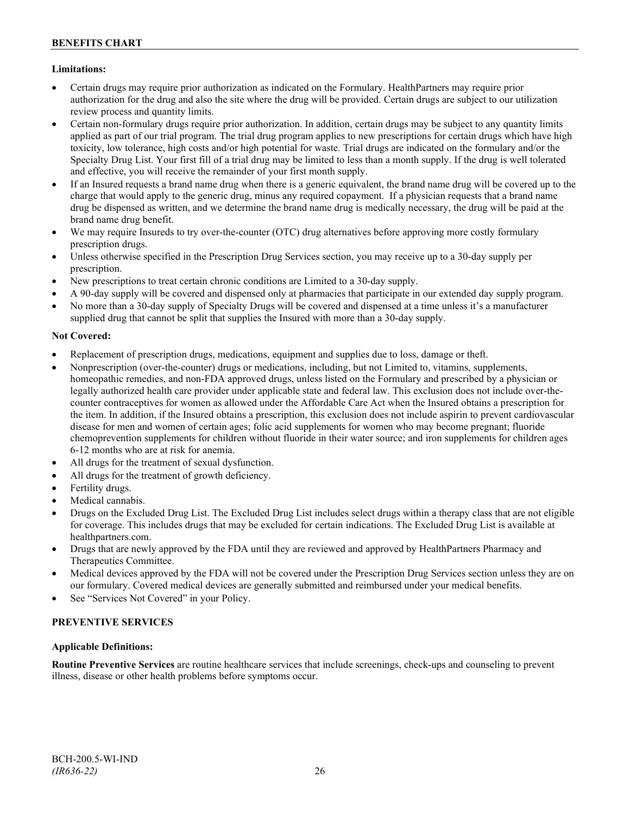# **Limitations:**

- Certain drugs may require prior authorization as indicated on the Formulary. HealthPartners may require prior authorization for the drug and also the site where the drug will be provided. Certain drugs are subject to our utilization review process and quantity limits.
- Certain non-formulary drugs require prior authorization. In addition, certain drugs may be subject to any quantity limits applied as part of our trial program. The trial drug program applies to new prescriptions for certain drugs which have high toxicity, low tolerance, high costs and/or high potential for waste. Trial drugs are indicated on the formulary and/or the Specialty Drug List. Your first fill of a trial drug may be limited to less than a month supply. If the drug is well tolerated and effective, you will receive the remainder of your first month supply.
- If an Insured requests a brand name drug when there is a generic equivalent, the brand name drug will be covered up to the charge that would apply to the generic drug, minus any required copayment. If a physician requests that a brand name drug be dispensed as written, and we determine the brand name drug is medically necessary, the drug will be paid at the brand name drug benefit.
- We may require Insureds to try over-the-counter (OTC) drug alternatives before approving more costly formulary prescription drugs.
- Unless otherwise specified in the Prescription Drug Services section, you may receive up to a 30-day supply per prescription.
- New prescriptions to treat certain chronic conditions are Limited to a 30-day supply.
- A 90-day supply will be covered and dispensed only at pharmacies that participate in our extended day supply program.
- No more than a 30-day supply of Specialty Drugs will be covered and dispensed at a time unless it's a manufacturer supplied drug that cannot be split that supplies the Insured with more than a 30-day supply.

# **Not Covered:**

- Replacement of prescription drugs, medications, equipment and supplies due to loss, damage or theft.
- Nonprescription (over-the-counter) drugs or medications, including, but not Limited to, vitamins, supplements, homeopathic remedies, and non-FDA approved drugs, unless listed on the Formulary and prescribed by a physician or legally authorized health care provider under applicable state and federal law. This exclusion does not include over-thecounter contraceptives for women as allowed under the Affordable Care Act when the Insured obtains a prescription for the item. In addition, if the Insured obtains a prescription, this exclusion does not include aspirin to prevent cardiovascular disease for men and women of certain ages; folic acid supplements for women who may become pregnant; fluoride chemoprevention supplements for children without fluoride in their water source; and iron supplements for children ages 6-12 months who are at risk for anemia.
- All drugs for the treatment of sexual dysfunction.
- All drugs for the treatment of growth deficiency.
- Fertility drugs.
- Medical cannabis.
- Drugs on the Excluded Drug List. The Excluded Drug List includes select drugs within a therapy class that are not eligible for coverage. This includes drugs that may be excluded for certain indications. The Excluded Drug List is available at [healthpartners.com.](http://www.healthpartners.com/)
- Drugs that are newly approved by the FDA until they are reviewed and approved by HealthPartners Pharmacy and Therapeutics Committee.
- Medical devices approved by the FDA will not be covered under the Prescription Drug Services section unless they are on our formulary. Covered medical devices are generally submitted and reimbursed under your medical benefits.
- See "Services Not Covered" in your Policy.

# **PREVENTIVE SERVICES**

### **Applicable Definitions:**

**Routine Preventive Services** are routine healthcare services that include screenings, check-ups and counseling to prevent illness, disease or other health problems before symptoms occur.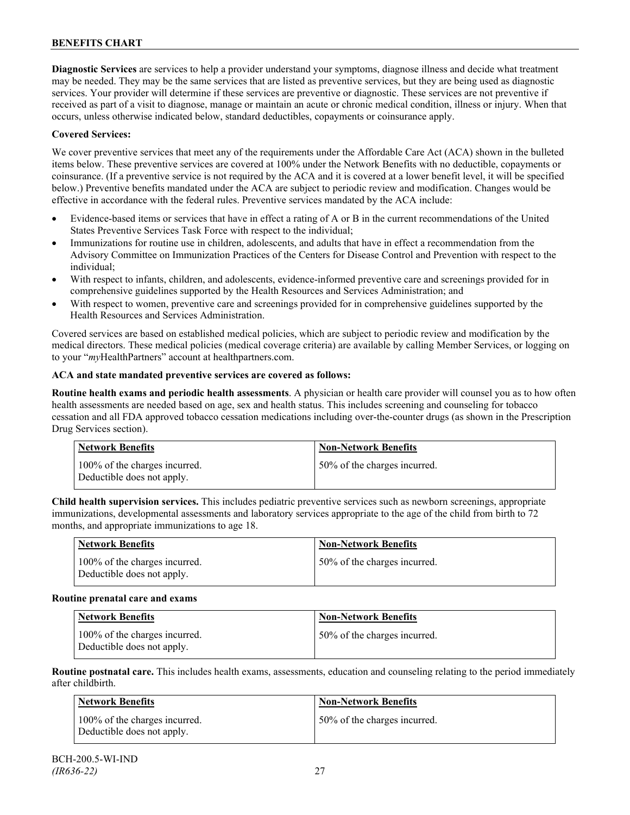**Diagnostic Services** are services to help a provider understand your symptoms, diagnose illness and decide what treatment may be needed. They may be the same services that are listed as preventive services, but they are being used as diagnostic services. Your provider will determine if these services are preventive or diagnostic. These services are not preventive if received as part of a visit to diagnose, manage or maintain an acute or chronic medical condition, illness or injury. When that occurs, unless otherwise indicated below, standard deductibles, copayments or coinsurance apply.

### **Covered Services:**

We cover preventive services that meet any of the requirements under the Affordable Care Act (ACA) shown in the bulleted items below. These preventive services are covered at 100% under the Network Benefits with no deductible, copayments or coinsurance. (If a preventive service is not required by the ACA and it is covered at a lower benefit level, it will be specified below.) Preventive benefits mandated under the ACA are subject to periodic review and modification. Changes would be effective in accordance with the federal rules. Preventive services mandated by the ACA include:

- Evidence-based items or services that have in effect a rating of A or B in the current recommendations of the United States Preventive Services Task Force with respect to the individual;
- Immunizations for routine use in children, adolescents, and adults that have in effect a recommendation from the Advisory Committee on Immunization Practices of the Centers for Disease Control and Prevention with respect to the individual;
- With respect to infants, children, and adolescents, evidence-informed preventive care and screenings provided for in comprehensive guidelines supported by the Health Resources and Services Administration; and
- With respect to women, preventive care and screenings provided for in comprehensive guidelines supported by the Health Resources and Services Administration.

Covered services are based on established medical policies, which are subject to periodic review and modification by the medical directors. These medical policies (medical coverage criteria) are available by calling Member Services, or logging on to your "*my*HealthPartners" account at [healthpartners.com.](http://www.healthpartners.com/)

#### **ACA and state mandated preventive services are covered as follows:**

**Routine health exams and periodic health assessments**. A physician or health care provider will counsel you as to how often health assessments are needed based on age, sex and health status. This includes screening and counseling for tobacco cessation and all FDA approved tobacco cessation medications including over-the-counter drugs (as shown in the Prescription Drug Services section).

| Network Benefits                                            | <b>Non-Network Benefits</b>  |
|-------------------------------------------------------------|------------------------------|
| 100% of the charges incurred.<br>Deductible does not apply. | 50% of the charges incurred. |

**Child health supervision services.** This includes pediatric preventive services such as newborn screenings, appropriate immunizations, developmental assessments and laboratory services appropriate to the age of the child from birth to 72 months, and appropriate immunizations to age 18.

| Network Benefits                                            | <b>Non-Network Benefits</b>  |
|-------------------------------------------------------------|------------------------------|
| 100% of the charges incurred.<br>Deductible does not apply. | 50% of the charges incurred. |

#### **Routine prenatal care and exams**

| Network Benefits                                            | <b>Non-Network Benefits</b>  |
|-------------------------------------------------------------|------------------------------|
| 100% of the charges incurred.<br>Deductible does not apply. | 50% of the charges incurred. |

**Routine postnatal care.** This includes health exams, assessments, education and counseling relating to the period immediately after childbirth.

| Network Benefits                                            | <b>Non-Network Benefits</b>  |
|-------------------------------------------------------------|------------------------------|
| 100% of the charges incurred.<br>Deductible does not apply. | 50% of the charges incurred. |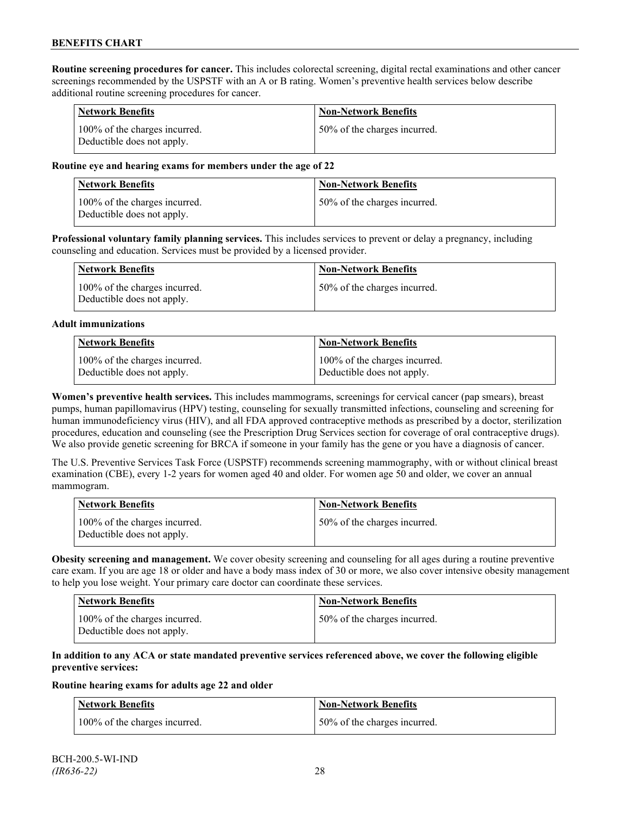**Routine screening procedures for cancer.** This includes colorectal screening, digital rectal examinations and other cancer screenings recommended by the USPSTF with an A or B rating. Women's preventive health services below describe additional routine screening procedures for cancer.

| <b>Network Benefits</b>                                     | <b>Non-Network Benefits</b>  |
|-------------------------------------------------------------|------------------------------|
| 100% of the charges incurred.<br>Deductible does not apply. | 50% of the charges incurred. |

### **Routine eye and hearing exams for members under the age of 22**

| Network Benefits                                            | <b>Non-Network Benefits</b>  |
|-------------------------------------------------------------|------------------------------|
| 100% of the charges incurred.<br>Deductible does not apply. | 50% of the charges incurred. |

**Professional voluntary family planning services.** This includes services to prevent or delay a pregnancy, including counseling and education. Services must be provided by a licensed provider.

| <b>Network Benefits</b>                                     | <b>Non-Network Benefits</b>  |
|-------------------------------------------------------------|------------------------------|
| 100% of the charges incurred.<br>Deductible does not apply. | 50% of the charges incurred. |

#### **Adult immunizations**

| <b>Network Benefits</b>       | <b>Non-Network Benefits</b>   |
|-------------------------------|-------------------------------|
| 100% of the charges incurred. | 100% of the charges incurred. |
| Deductible does not apply.    | Deductible does not apply.    |

**Women's preventive health services.** This includes mammograms, screenings for cervical cancer (pap smears), breast pumps, human papillomavirus (HPV) testing, counseling for sexually transmitted infections, counseling and screening for human immunodeficiency virus (HIV), and all FDA approved contraceptive methods as prescribed by a doctor, sterilization procedures, education and counseling (see the Prescription Drug Services section for coverage of oral contraceptive drugs). We also provide genetic screening for BRCA if someone in your family has the gene or you have a diagnosis of cancer.

The U.S. Preventive Services Task Force (USPSTF) recommends screening mammography, with or without clinical breast examination (CBE), every 1-2 years for women aged 40 and older. For women age 50 and older, we cover an annual mammogram.

| Network Benefits                                            | <b>Non-Network Benefits</b>  |
|-------------------------------------------------------------|------------------------------|
| 100% of the charges incurred.<br>Deductible does not apply. | 50% of the charges incurred. |

**Obesity screening and management.** We cover obesity screening and counseling for all ages during a routine preventive care exam. If you are age 18 or older and have a body mass index of 30 or more, we also cover intensive obesity management to help you lose weight. Your primary care doctor can coordinate these services.

| <b>Network Benefits</b>                                     | Non-Network Benefits         |
|-------------------------------------------------------------|------------------------------|
| 100% of the charges incurred.<br>Deductible does not apply. | 50% of the charges incurred. |

### **In addition to any ACA or state mandated preventive services referenced above, we cover the following eligible preventive services:**

#### **Routine hearing exams for adults age 22 and older**

| <b>Network Benefits</b>       | <b>Non-Network Benefits</b>  |
|-------------------------------|------------------------------|
| 100% of the charges incurred. | 50% of the charges incurred. |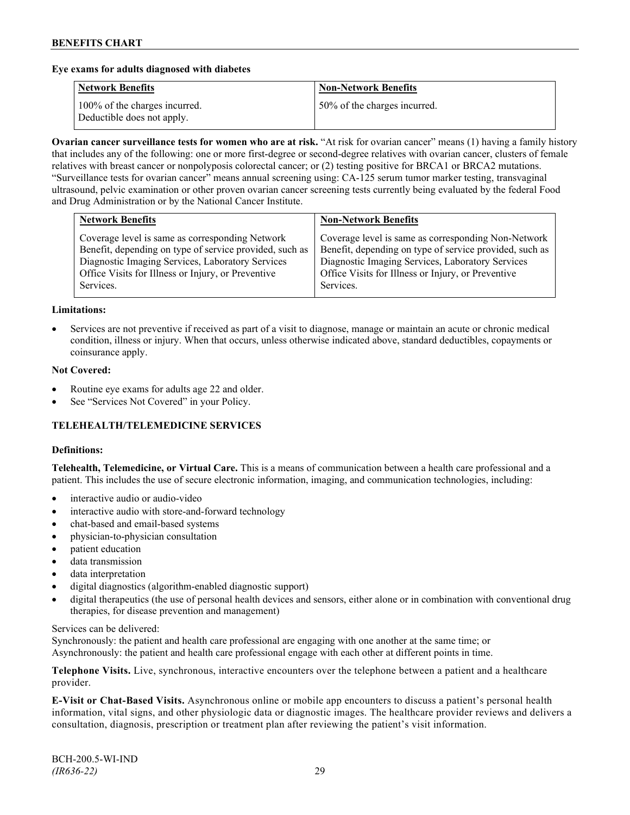### **Eye exams for adults diagnosed with diabetes**

| <b>Network Benefits</b>                                     | <b>Non-Network Benefits</b>  |
|-------------------------------------------------------------|------------------------------|
| 100% of the charges incurred.<br>Deductible does not apply. | 50% of the charges incurred. |

**Ovarian cancer surveillance tests for women who are at risk.** "At risk for ovarian cancer" means (1) having a family history that includes any of the following: one or more first-degree or second-degree relatives with ovarian cancer, clusters of female relatives with breast cancer or nonpolyposis colorectal cancer; or (2) testing positive for BRCA1 or BRCA2 mutations. "Surveillance tests for ovarian cancer" means annual screening using: CA-125 serum tumor marker testing, transvaginal ultrasound, pelvic examination or other proven ovarian cancer screening tests currently being evaluated by the federal Food and Drug Administration or by the National Cancer Institute.

| <b>Network Benefits</b>                                                                                                                                                                                                           | <b>Non-Network Benefits</b>                                                                                                                                                                                                           |
|-----------------------------------------------------------------------------------------------------------------------------------------------------------------------------------------------------------------------------------|---------------------------------------------------------------------------------------------------------------------------------------------------------------------------------------------------------------------------------------|
| Coverage level is same as corresponding Network<br>Benefit, depending on type of service provided, such as<br>Diagnostic Imaging Services, Laboratory Services<br>Office Visits for Illness or Injury, or Preventive<br>Services. | Coverage level is same as corresponding Non-Network<br>Benefit, depending on type of service provided, such as<br>Diagnostic Imaging Services, Laboratory Services<br>Office Visits for Illness or Injury, or Preventive<br>Services. |
|                                                                                                                                                                                                                                   |                                                                                                                                                                                                                                       |

#### **Limitations:**

• Services are not preventive if received as part of a visit to diagnose, manage or maintain an acute or chronic medical condition, illness or injury. When that occurs, unless otherwise indicated above, standard deductibles, copayments or coinsurance apply.

#### **Not Covered:**

- Routine eye exams for adults age 22 and older.
- See "Services Not Covered" in your Policy.

# **TELEHEALTH/TELEMEDICINE SERVICES**

#### **Definitions:**

**Telehealth, Telemedicine, or Virtual Care.** This is a means of communication between a health care professional and a patient. This includes the use of secure electronic information, imaging, and communication technologies, including:

- interactive audio or audio-video
- interactive audio with store-and-forward technology
- chat-based and email-based systems
- physician-to-physician consultation
- patient education
- data transmission
- data interpretation
- digital diagnostics (algorithm-enabled diagnostic support)
- digital therapeutics (the use of personal health devices and sensors, either alone or in combination with conventional drug therapies, for disease prevention and management)

#### Services can be delivered:

Synchronously: the patient and health care professional are engaging with one another at the same time; or Asynchronously: the patient and health care professional engage with each other at different points in time.

**Telephone Visits.** Live, synchronous, interactive encounters over the telephone between a patient and a healthcare provider.

**E-Visit or Chat-Based Visits.** Asynchronous online or mobile app encounters to discuss a patient's personal health information, vital signs, and other physiologic data or diagnostic images. The healthcare provider reviews and delivers a consultation, diagnosis, prescription or treatment plan after reviewing the patient's visit information.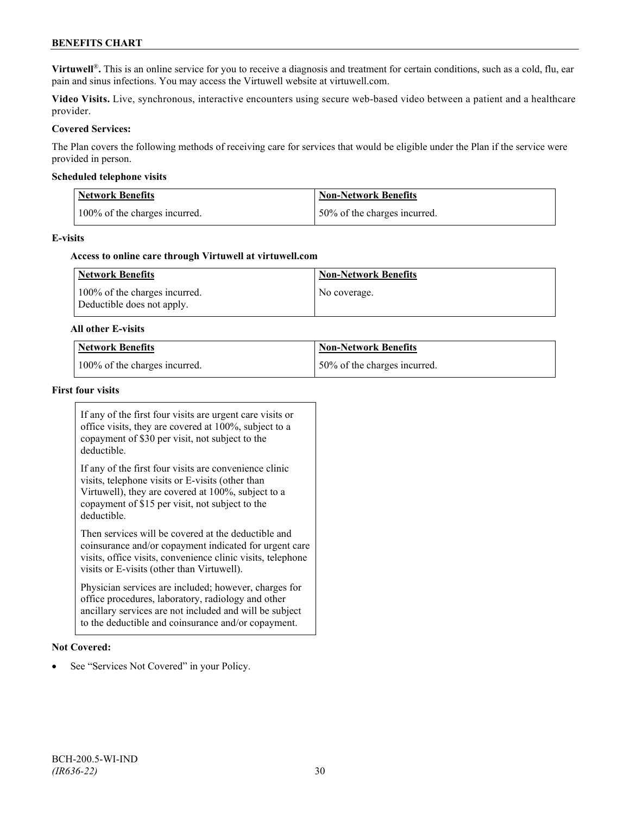# **BENEFITS CHART**

**Virtuwell<sup>®</sup>**. This is an online service for you to receive a diagnosis and treatment for certain conditions, such as a cold, flu, ear pain and sinus infections. You may access the Virtuwell website at [virtuwell.com.](https://www.virtuwell.com/)

**Video Visits.** Live, synchronous, interactive encounters using secure web-based video between a patient and a healthcare provider.

### **Covered Services:**

The Plan covers the following methods of receiving care for services that would be eligible under the Plan if the service were provided in person.

#### **Scheduled telephone visits**

| <b>Network Benefits</b>       | <b>Non-Network Benefits</b>   |
|-------------------------------|-------------------------------|
| 100% of the charges incurred. | 150% of the charges incurred. |

#### **E-visits**

#### **Access to online care through Virtuwell at [virtuwell.com](http://www.virtuwell.com/)**

| Network Benefits                                            | <b>Non-Network Benefits</b> |
|-------------------------------------------------------------|-----------------------------|
| 100% of the charges incurred.<br>Deductible does not apply. | No coverage.                |

#### **All other E-visits**

| Network Benefits              | Non-Network Benefits         |
|-------------------------------|------------------------------|
| 100% of the charges incurred. | 50% of the charges incurred. |

#### **First four visits**

If any of the first four visits are urgent care visits or office visits, they are covered at 100%, subject to a copayment of \$30 per visit, not subject to the deductible.

If any of the first four visits are convenience clinic visits, telephone visits or E-visits (other than Virtuwell), they are covered at 100%, subject to a copayment of \$15 per visit, not subject to the deductible.

Then services will be covered at the deductible and coinsurance and/or copayment indicated for urgent care visits, office visits, convenience clinic visits, telephone visits or E-visits (other than Virtuwell).

Physician services are included; however, charges for office procedures, laboratory, radiology and other ancillary services are not included and will be subject to the deductible and coinsurance and/or copayment.

#### **Not Covered:**

See "Services Not Covered" in your Policy.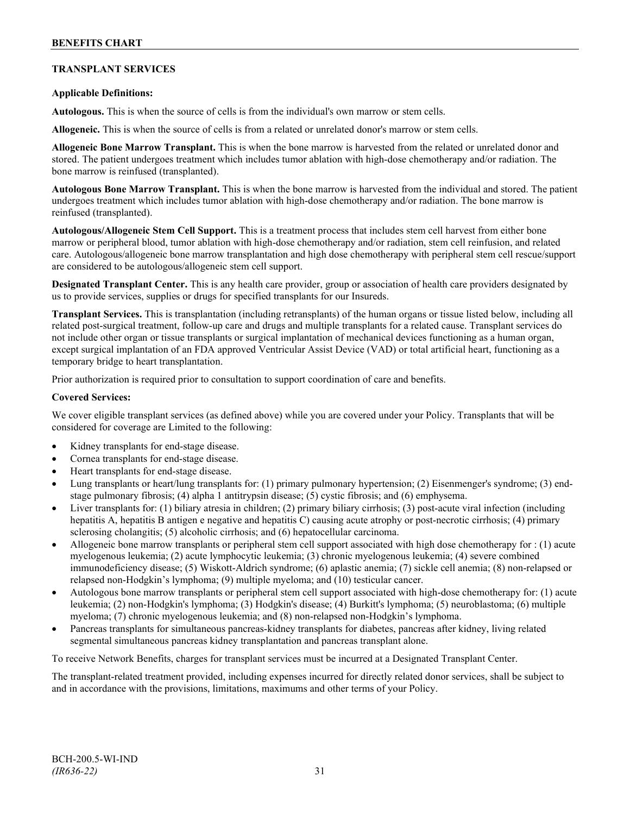# **TRANSPLANT SERVICES**

### **Applicable Definitions:**

**Autologous.** This is when the source of cells is from the individual's own marrow or stem cells.

**Allogeneic.** This is when the source of cells is from a related or unrelated donor's marrow or stem cells.

**Allogeneic Bone Marrow Transplant.** This is when the bone marrow is harvested from the related or unrelated donor and stored. The patient undergoes treatment which includes tumor ablation with high-dose chemotherapy and/or radiation. The bone marrow is reinfused (transplanted).

**Autologous Bone Marrow Transplant.** This is when the bone marrow is harvested from the individual and stored. The patient undergoes treatment which includes tumor ablation with high-dose chemotherapy and/or radiation. The bone marrow is reinfused (transplanted).

**Autologous/Allogeneic Stem Cell Support.** This is a treatment process that includes stem cell harvest from either bone marrow or peripheral blood, tumor ablation with high-dose chemotherapy and/or radiation, stem cell reinfusion, and related care. Autologous/allogeneic bone marrow transplantation and high dose chemotherapy with peripheral stem cell rescue/support are considered to be autologous/allogeneic stem cell support.

**Designated Transplant Center.** This is any health care provider, group or association of health care providers designated by us to provide services, supplies or drugs for specified transplants for our Insureds.

**Transplant Services.** This is transplantation (including retransplants) of the human organs or tissue listed below, including all related post-surgical treatment, follow-up care and drugs and multiple transplants for a related cause. Transplant services do not include other organ or tissue transplants or surgical implantation of mechanical devices functioning as a human organ, except surgical implantation of an FDA approved Ventricular Assist Device (VAD) or total artificial heart, functioning as a temporary bridge to heart transplantation.

Prior authorization is required prior to consultation to support coordination of care and benefits.

#### **Covered Services:**

We cover eligible transplant services (as defined above) while you are covered under your Policy. Transplants that will be considered for coverage are Limited to the following:

- Kidney transplants for end-stage disease.
- Cornea transplants for end-stage disease.
- Heart transplants for end-stage disease.
- Lung transplants or heart/lung transplants for: (1) primary pulmonary hypertension; (2) Eisenmenger's syndrome; (3) endstage pulmonary fibrosis; (4) alpha 1 antitrypsin disease; (5) cystic fibrosis; and (6) emphysema.
- Liver transplants for: (1) biliary atresia in children; (2) primary biliary cirrhosis; (3) post-acute viral infection (including hepatitis A, hepatitis B antigen e negative and hepatitis C) causing acute atrophy or post-necrotic cirrhosis; (4) primary sclerosing cholangitis; (5) alcoholic cirrhosis; and (6) hepatocellular carcinoma.
- Allogeneic bone marrow transplants or peripheral stem cell support associated with high dose chemotherapy for : (1) acute myelogenous leukemia; (2) acute lymphocytic leukemia; (3) chronic myelogenous leukemia; (4) severe combined immunodeficiency disease; (5) Wiskott-Aldrich syndrome; (6) aplastic anemia; (7) sickle cell anemia; (8) non-relapsed or relapsed non-Hodgkin's lymphoma; (9) multiple myeloma; and (10) testicular cancer.
- Autologous bone marrow transplants or peripheral stem cell support associated with high-dose chemotherapy for: (1) acute leukemia; (2) non-Hodgkin's lymphoma; (3) Hodgkin's disease; (4) Burkitt's lymphoma; (5) neuroblastoma; (6) multiple myeloma; (7) chronic myelogenous leukemia; and (8) non-relapsed non-Hodgkin's lymphoma.
- Pancreas transplants for simultaneous pancreas-kidney transplants for diabetes, pancreas after kidney, living related segmental simultaneous pancreas kidney transplantation and pancreas transplant alone.

To receive Network Benefits, charges for transplant services must be incurred at a Designated Transplant Center.

The transplant-related treatment provided, including expenses incurred for directly related donor services, shall be subject to and in accordance with the provisions, limitations, maximums and other terms of your Policy.